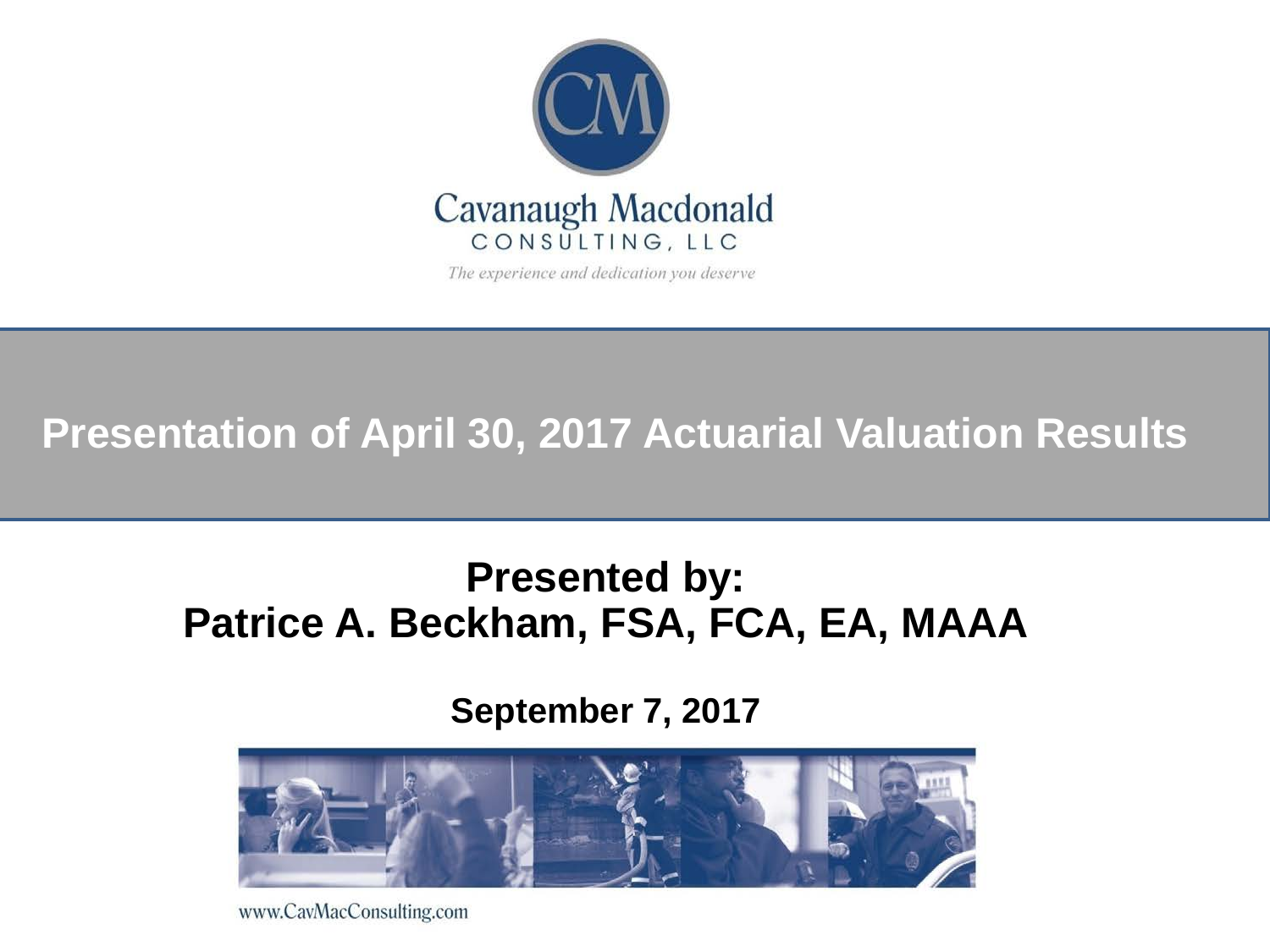

The experience and dedication you deserve

#### **Presentation of April 30, 2017 Actuarial Valuation Results**

#### **Presented by: Patrice A. Beckham, FSA, FCA, EA, MAAA**

#### **September 7, 2017**



www.CavMacConsulting.com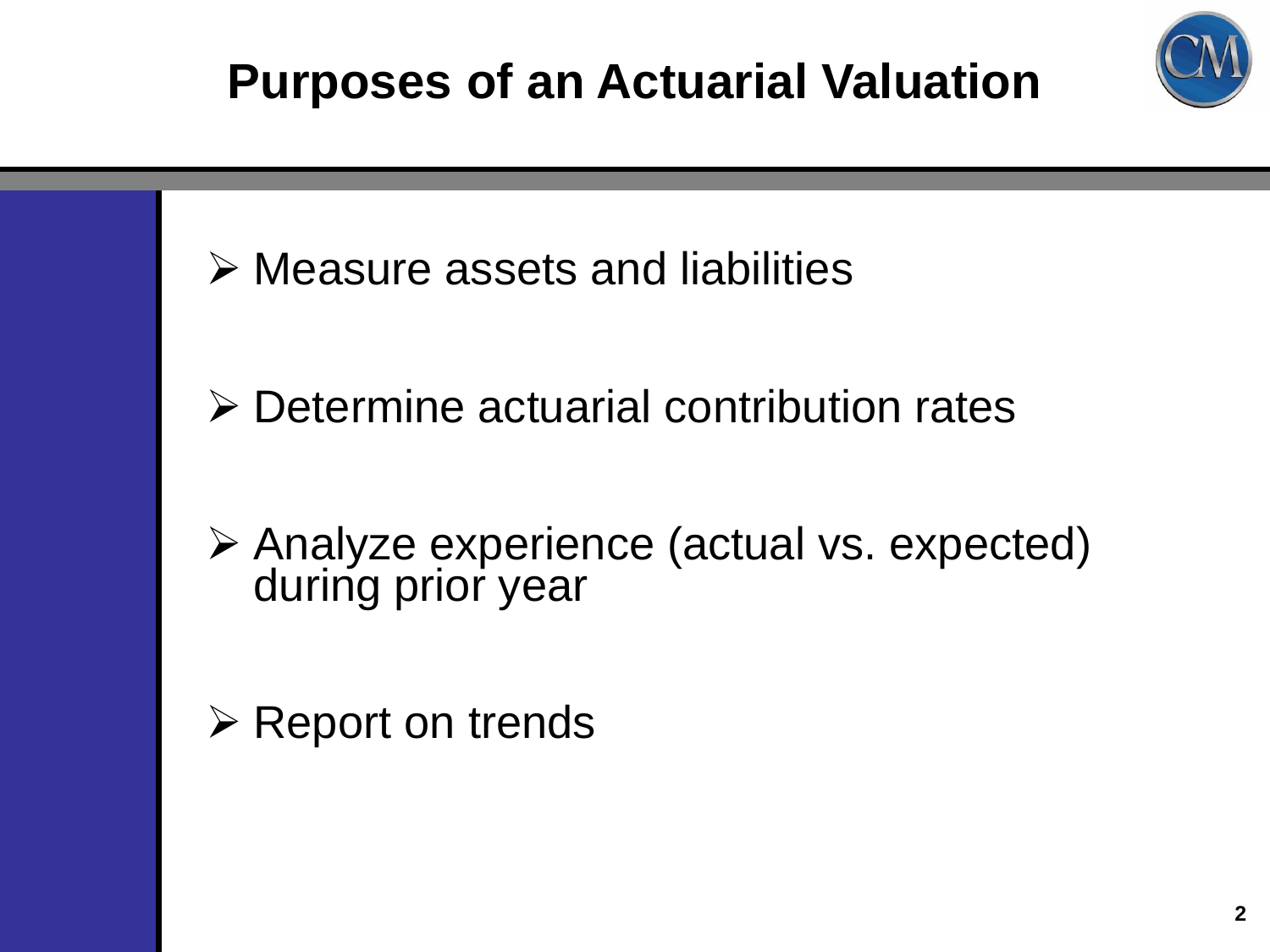



- Determine actuarial contribution rates
- Analyze experience (actual vs. expected) during prior year
- $\triangleright$  Report on trends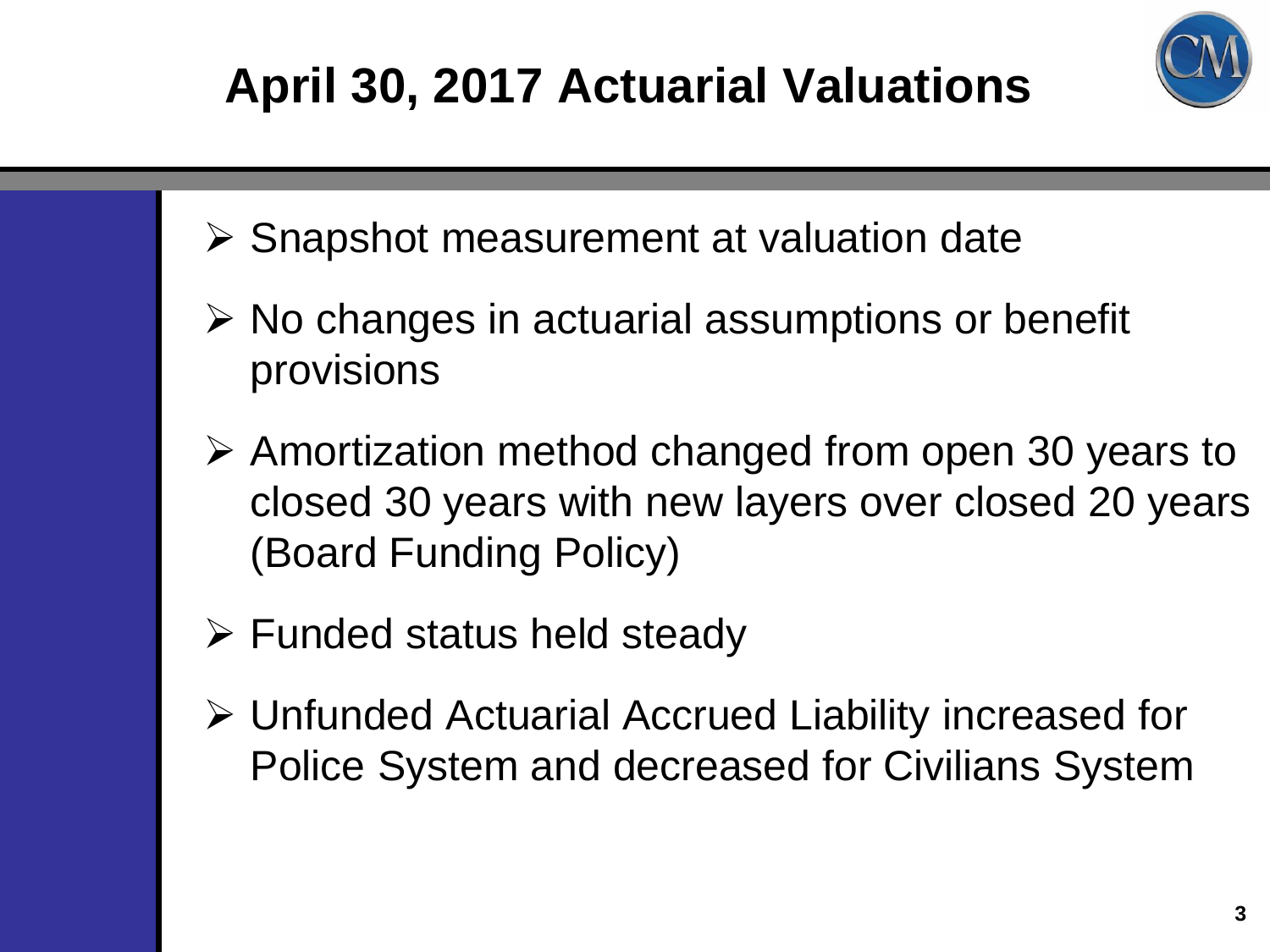# **Client Logo April 30, 2017 Actuarial Valuations**



- $\triangleright$  Snapshot measurement at valuation date
- $\triangleright$  No changes in actuarial assumptions or benefit provisions
- Amortization method changed from open 30 years to closed 30 years with new layers over closed 20 years (Board Funding Policy)
- $\triangleright$  Funded status held steady
- Unfunded Actuarial Accrued Liability increased for Police System and decreased for Civilians System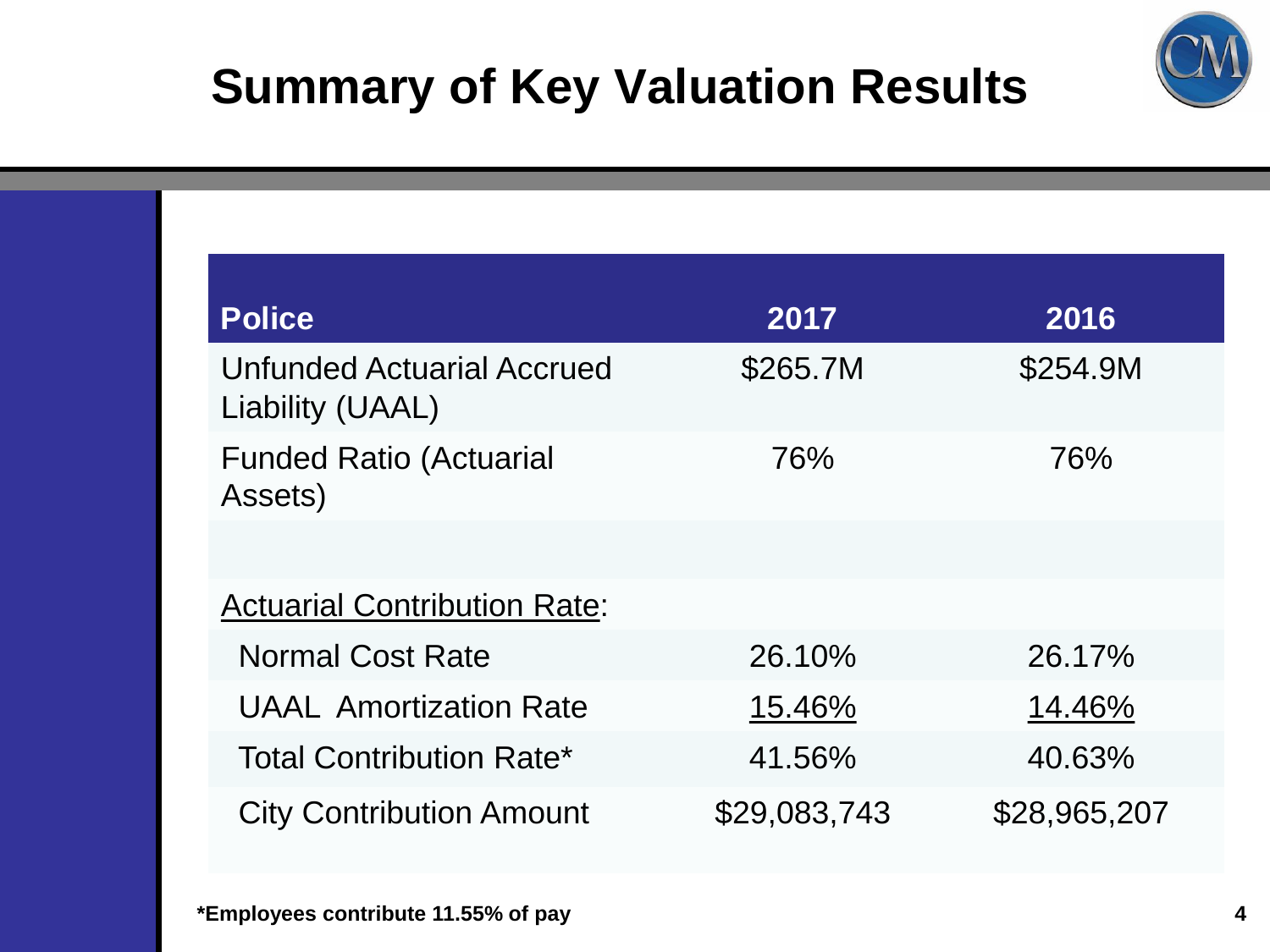



City Contribution Amount \$29,083,743 \$28,965,207

Liability (UAAL)

Assets)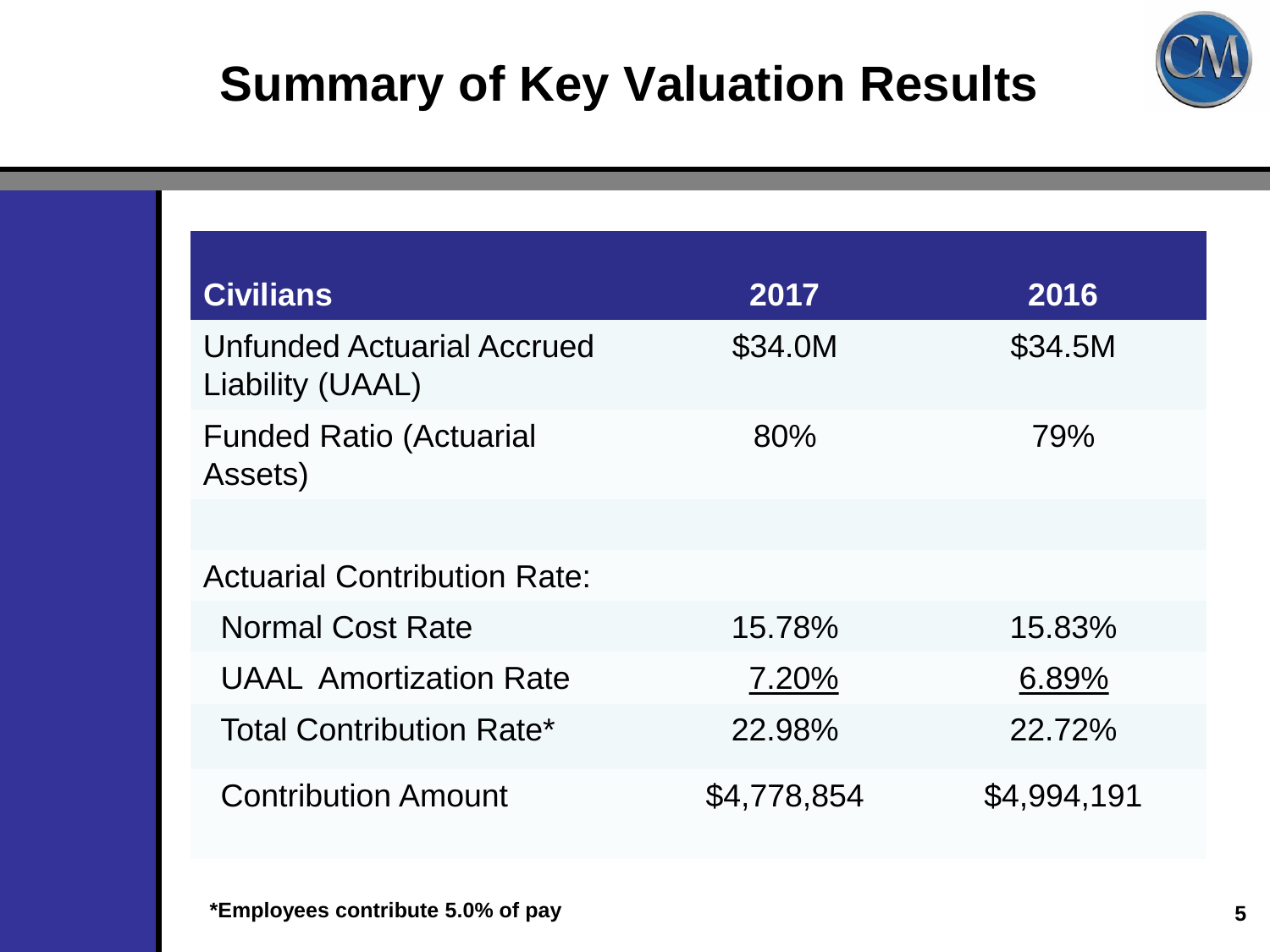

| <b>Civilians</b>                                      | 2017        | 2016        |
|-------------------------------------------------------|-------------|-------------|
| <b>Unfunded Actuarial Accrued</b><br>Liability (UAAL) | \$34.0M     | \$34.5M     |
| <b>Funded Ratio (Actuarial</b><br>Assets)             | 80%         | 79%         |
|                                                       |             |             |
| <b>Actuarial Contribution Rate:</b>                   |             |             |
| <b>Normal Cost Rate</b>                               | 15.78%      | 15.83%      |
| <b>UAAL Amortization Rate</b>                         | 7.20%       | 6.89%       |
| <b>Total Contribution Rate*</b>                       | 22.98%      | 22.72%      |
| <b>Contribution Amount</b>                            | \$4,778,854 | \$4,994,191 |

**\*Employees contribute 5.0% of pay 5**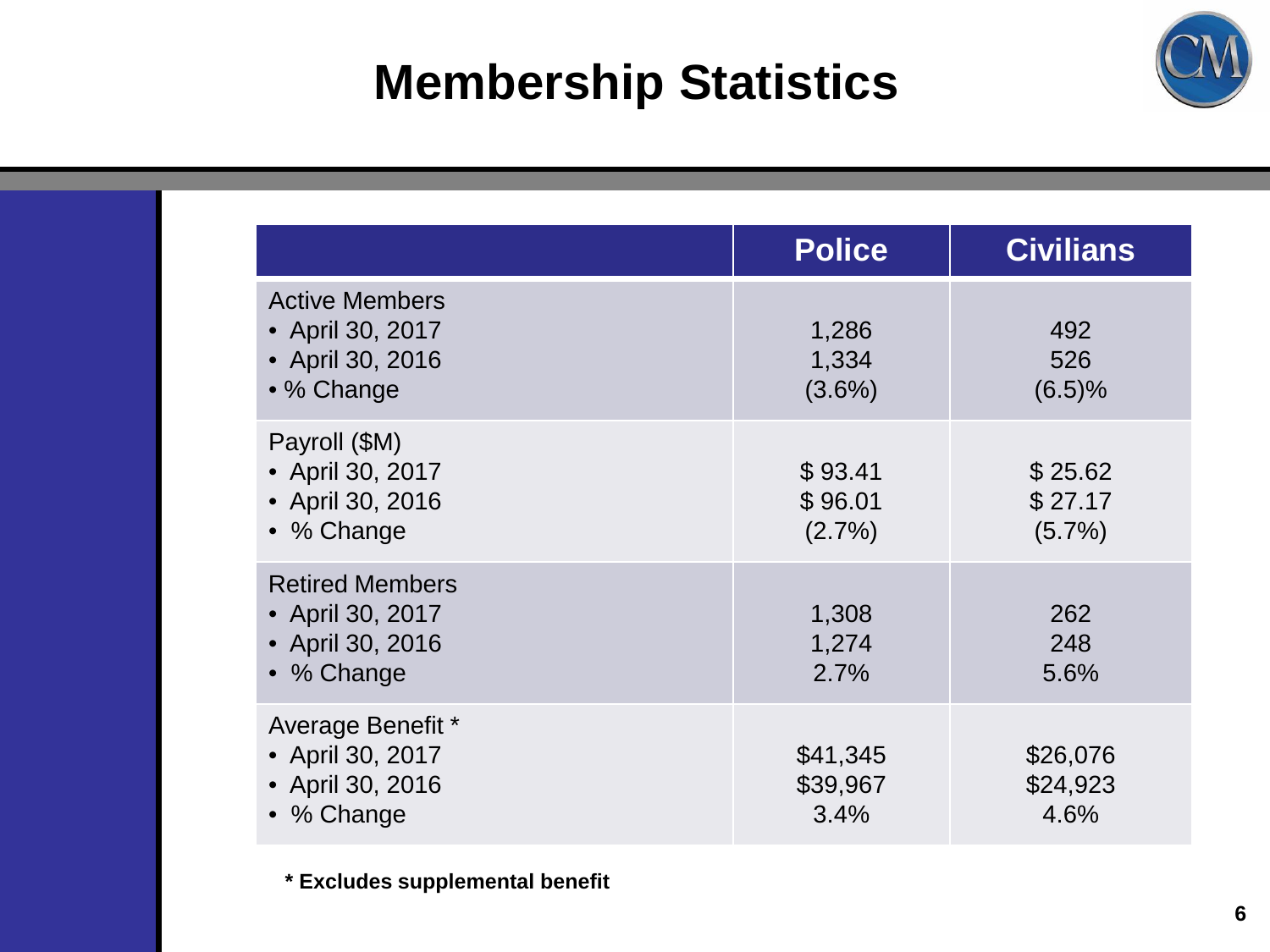## **Membership Statistics**



|                                                                              | <b>Police</b>                   | <b>Civilians</b>                |
|------------------------------------------------------------------------------|---------------------------------|---------------------------------|
| <b>Active Members</b><br>• April 30, 2017<br>• April 30, 2016<br>• % Change  | 1,286<br>1,334<br>$(3.6\%)$     | 492<br>526<br>(6.5)%            |
| Payroll (\$M)<br>• April 30, 2017<br>• April 30, 2016<br>• % Change          | \$93.41<br>\$96.01<br>$(2.7\%)$ | \$25.62<br>\$27.17<br>$(5.7\%)$ |
| <b>Retired Members</b><br>• April 30, 2017<br>• April 30, 2016<br>• % Change | 1,308<br>1,274<br>2.7%          | 262<br>248<br>5.6%              |
| Average Benefit *<br>• April 30, 2017<br>• April 30, 2016<br>• % Change      | \$41,345<br>\$39,967<br>3.4%    | \$26,076<br>\$24,923<br>4.6%    |

**\* Excludes supplemental benefit**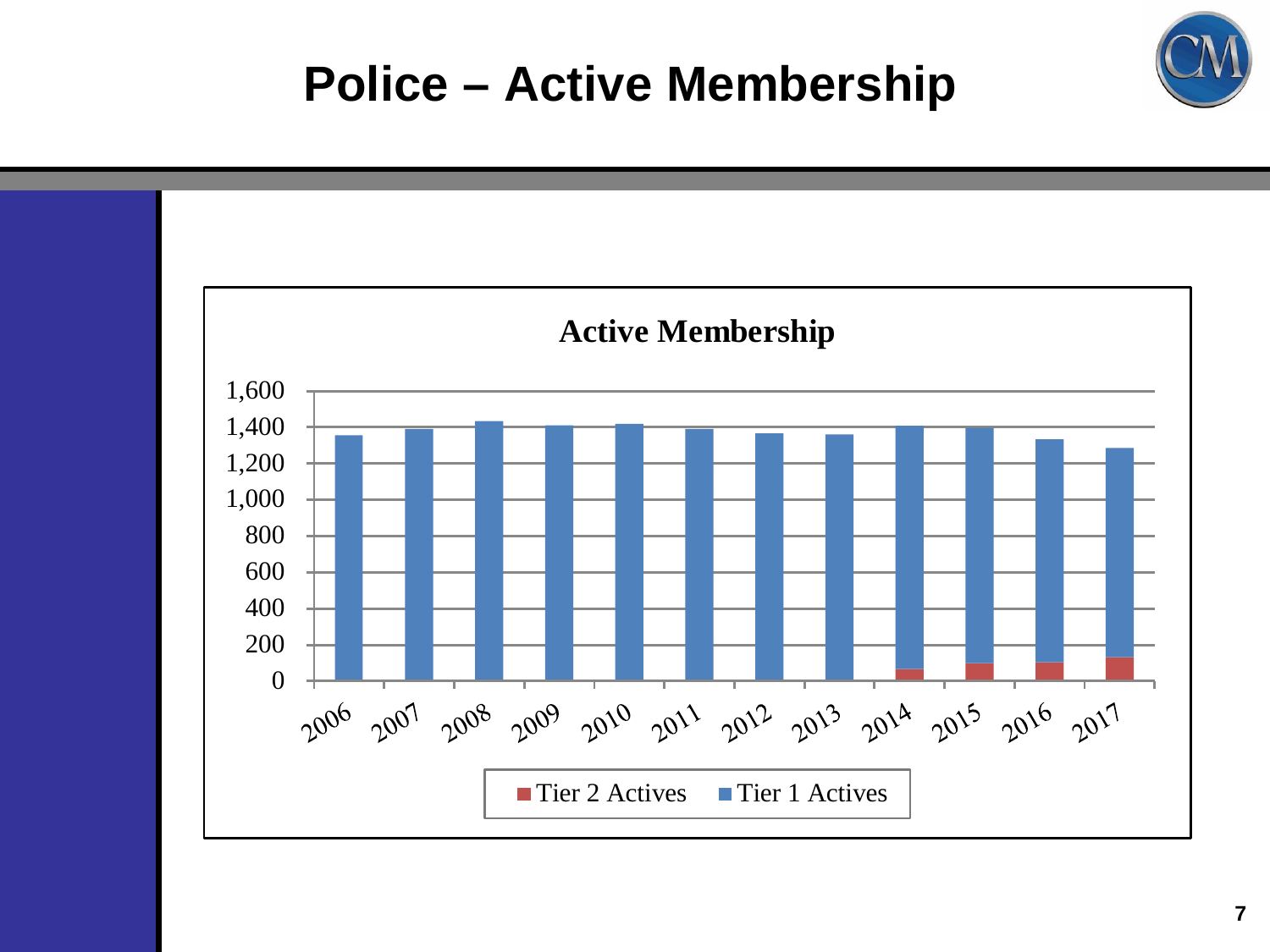## **Police – Active Membership**



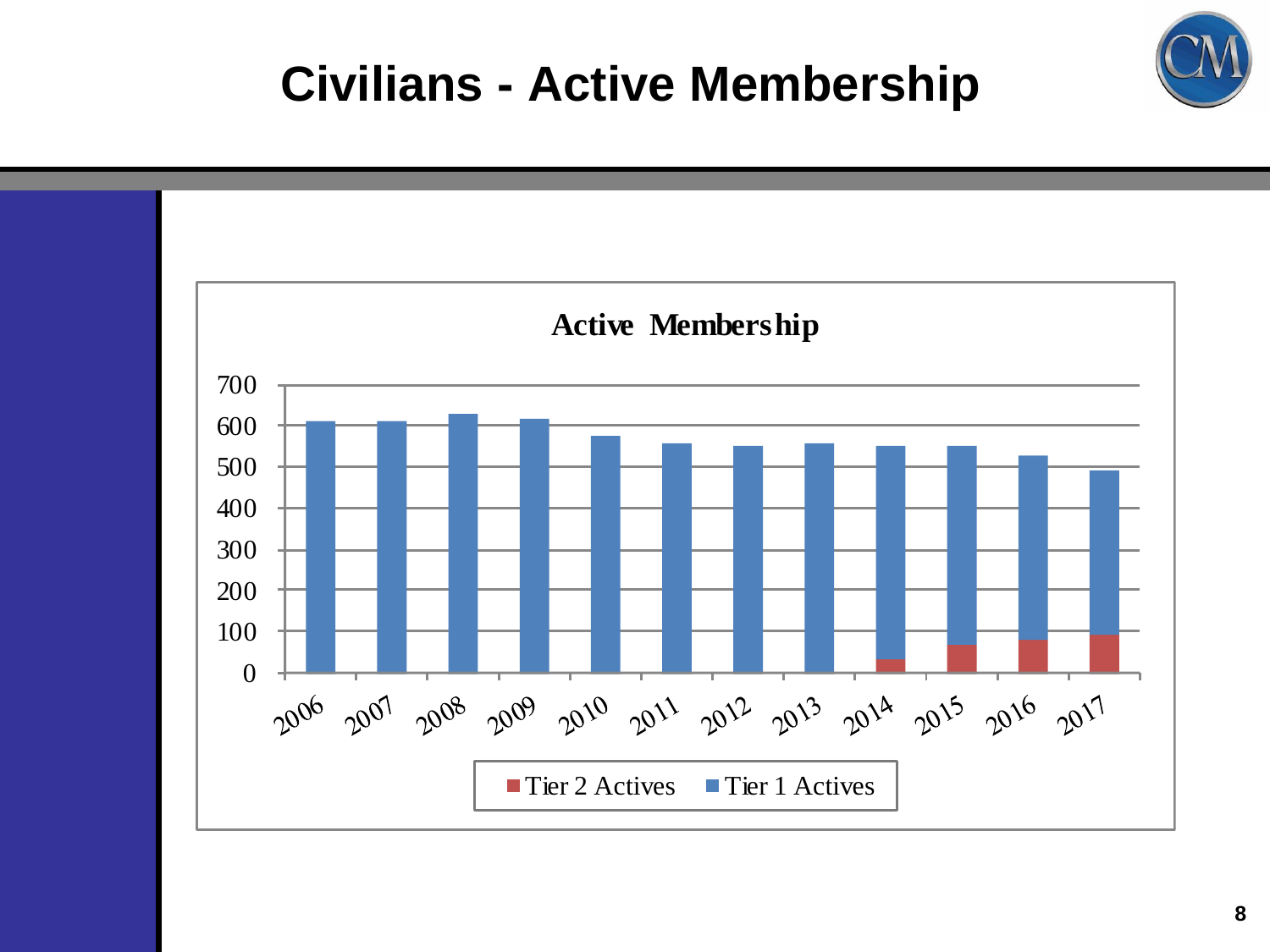## **Civilians - Active Membership**

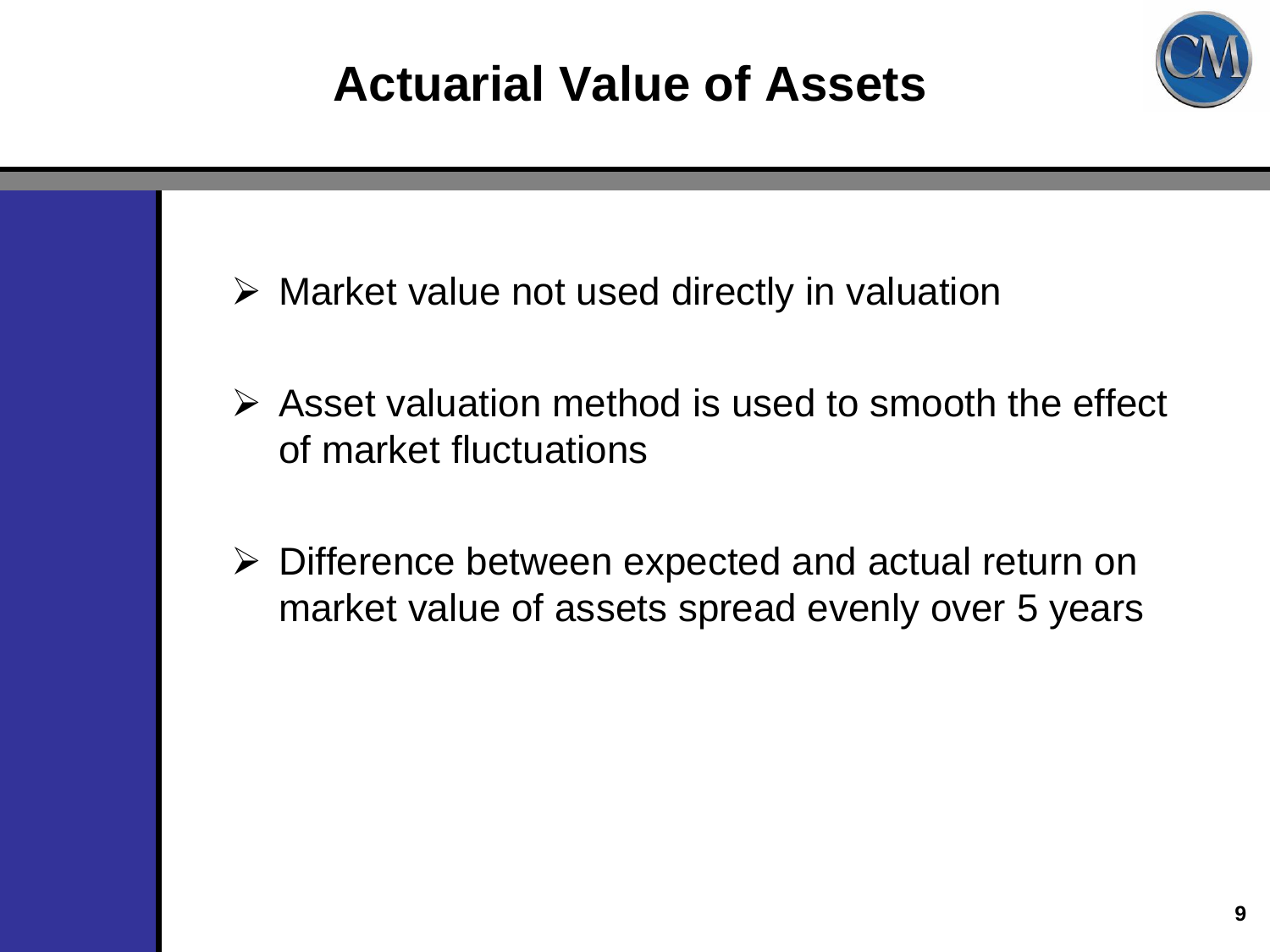## **Actuarial Value of Assets**



- $\triangleright$  Market value not used directly in valuation
- $\triangleright$  Asset valuation method is used to smooth the effect of market fluctuations
- Difference between expected and actual return on market value of assets spread evenly over 5 years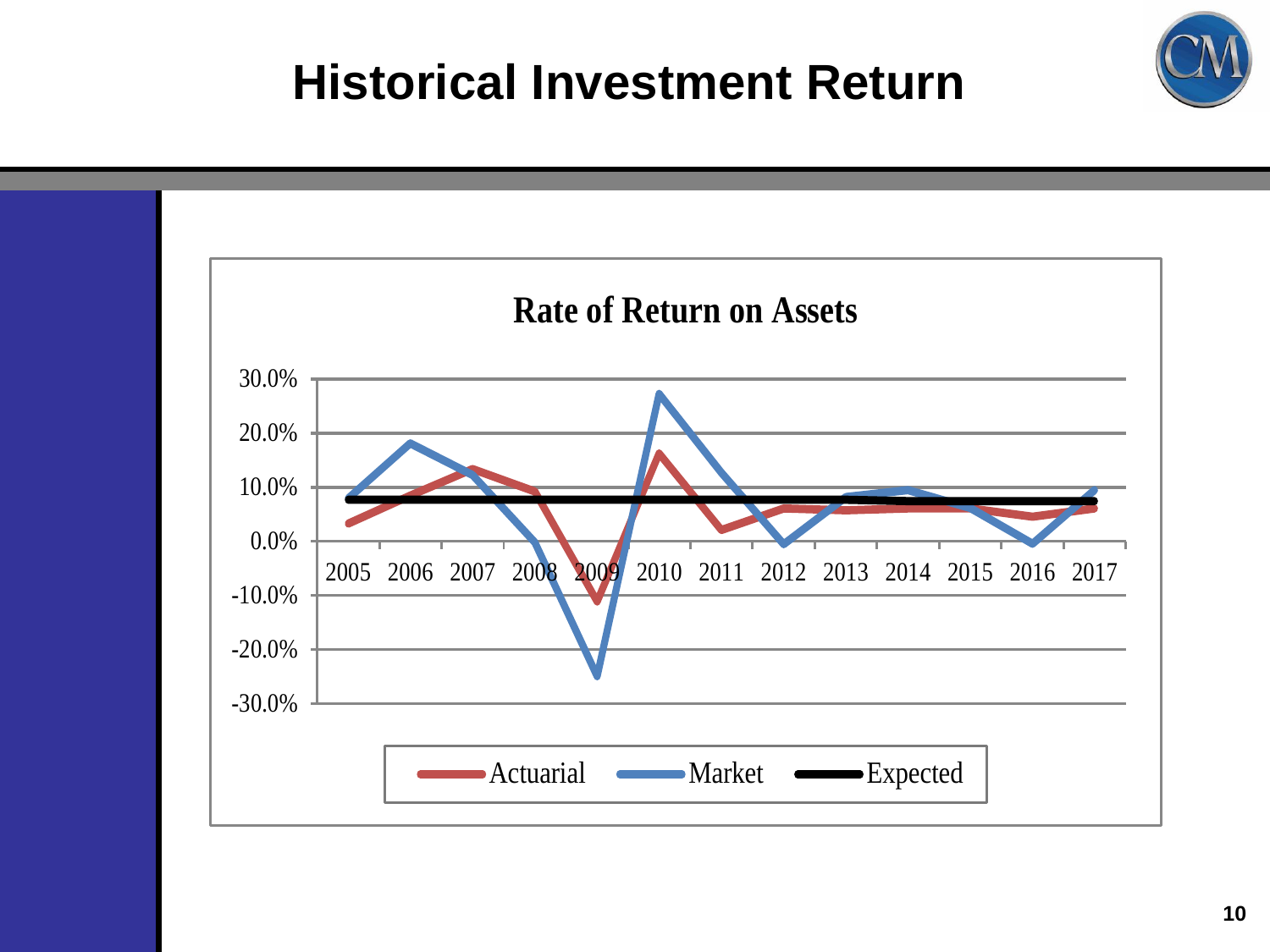#### **Historical Investment Return)**

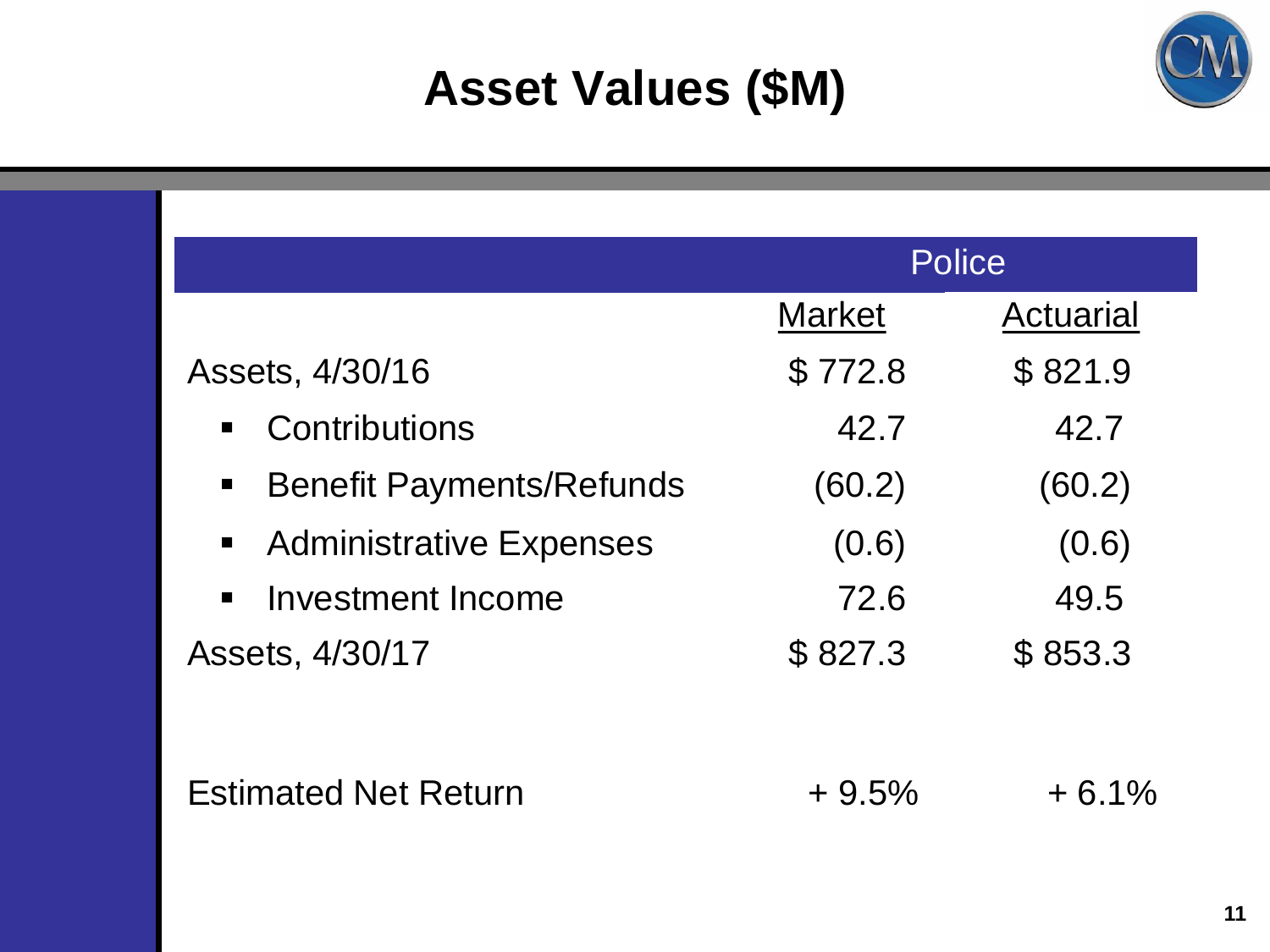## **Client Logo Asset Values (\$M)**



|                                      | <b>Police</b> |                  |
|--------------------------------------|---------------|------------------|
|                                      | <b>Market</b> | <b>Actuarial</b> |
| Assets, 4/30/16                      | \$772.8       | \$821.9          |
| Contributions<br>$\blacksquare$      | 42.7          | 42.7             |
| <b>Benefit Payments/Refunds</b><br>П | (60.2)        | (60.2)           |
| <b>Administrative Expenses</b>       | (0.6)         | (0.6)            |
| Investment Income<br>$\blacksquare$  | 72.6          | 49.5             |
| Assets, 4/30/17                      | \$827.3       | \$853.3          |
|                                      |               |                  |
| <b>Estimated Net Return</b>          | $+9.5%$       | $+6.1%$          |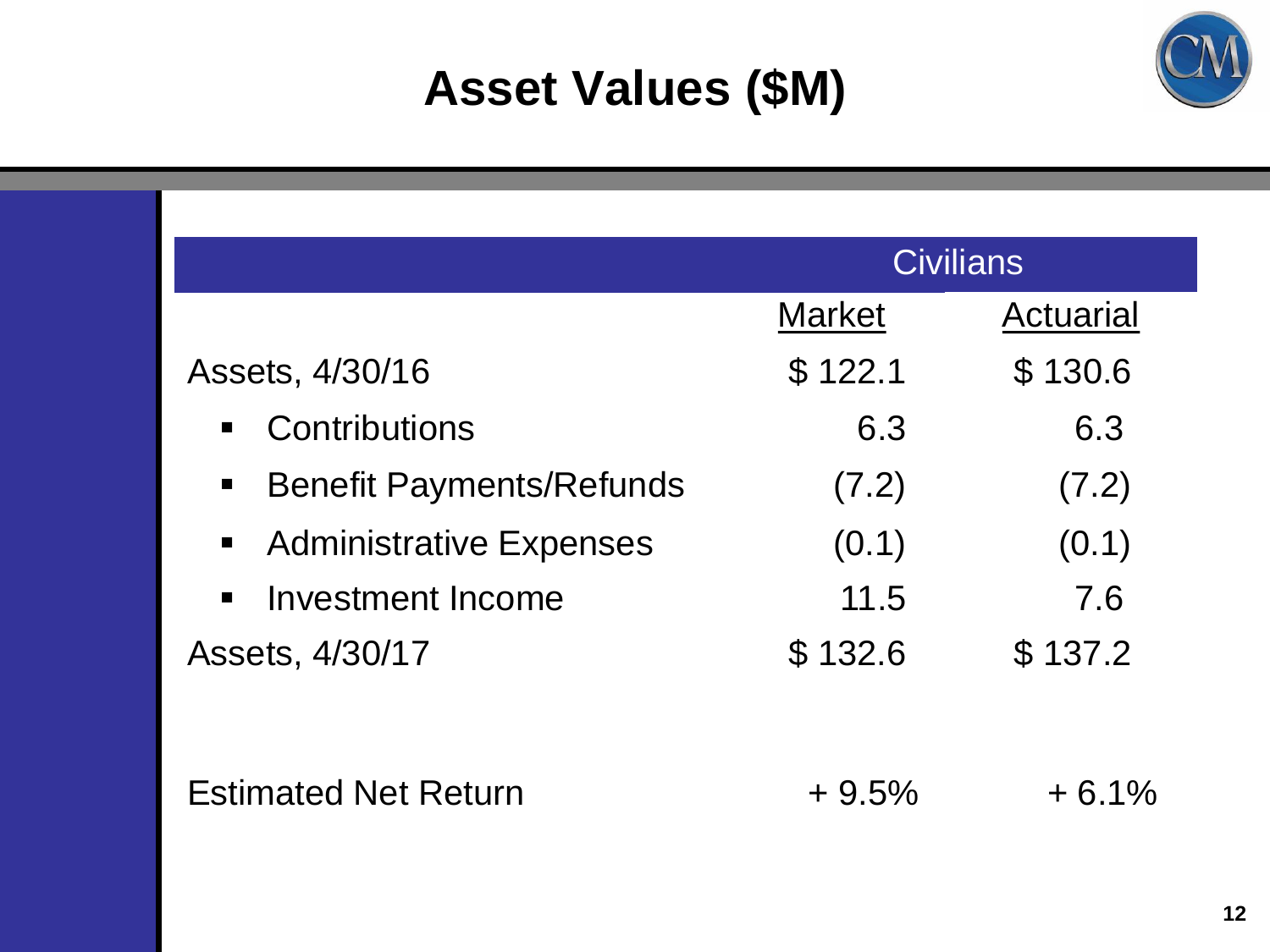## **Client Logo Asset Values (\$M)**



|                                     | <b>Civilians</b> |                  |
|-------------------------------------|------------------|------------------|
|                                     | <b>Market</b>    | <b>Actuarial</b> |
| Assets, 4/30/16                     | \$122.1          | \$130.6          |
| Contributions<br>$\blacksquare$     | 6.3              | 6.3              |
| <b>Benefit Payments/Refunds</b>     | (7.2)            | (7.2)            |
| <b>Administrative Expenses</b>      | (0.1)            | (0.1)            |
| Investment Income<br>$\blacksquare$ | 11.5             | 7.6              |
| Assets, 4/30/17                     | \$132.6          | \$137.2          |
|                                     |                  |                  |
| <b>Estimated Net Return</b>         | $+9.5%$          | $+6.1%$          |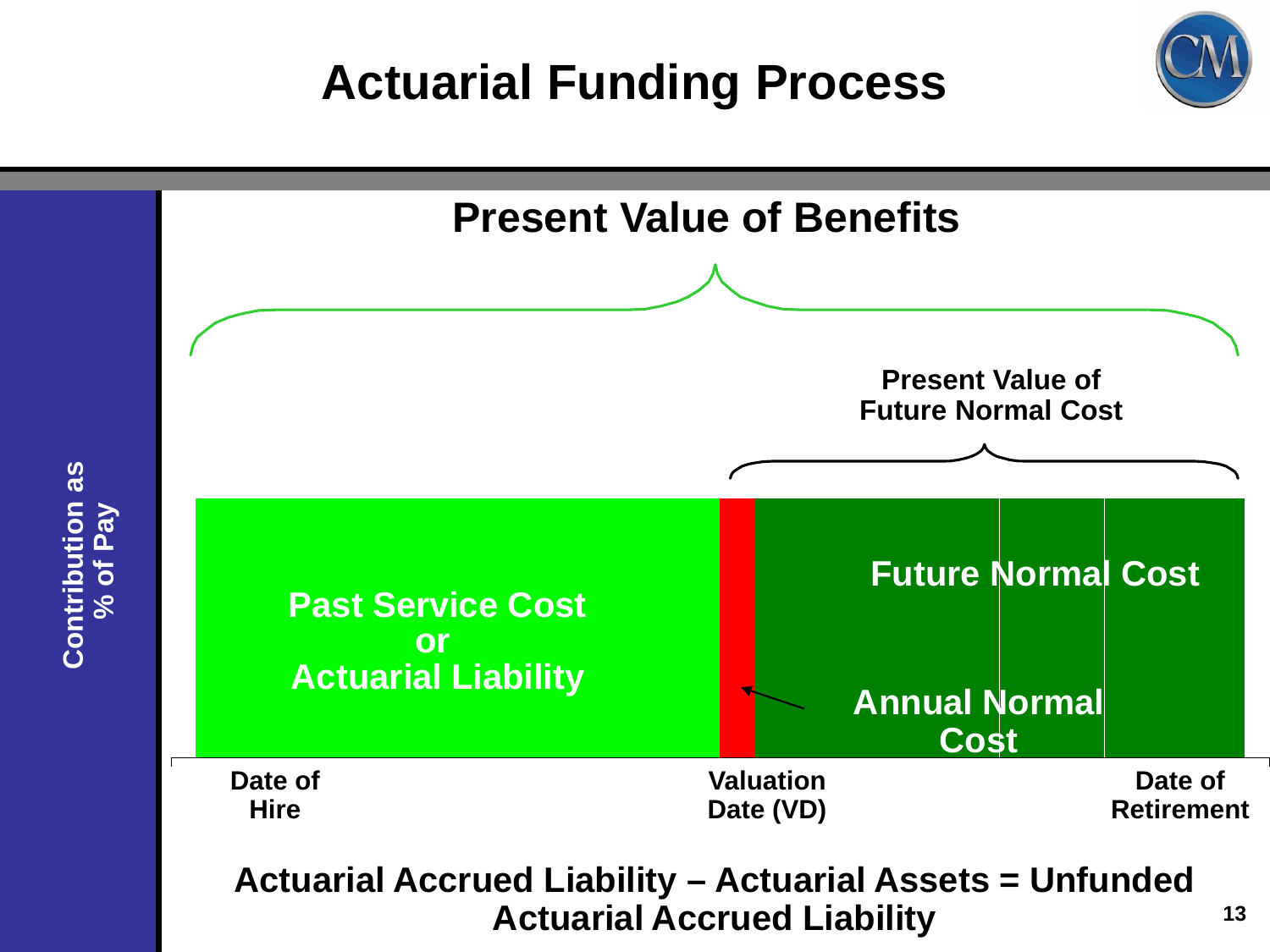## **Actuarial Funding Process**

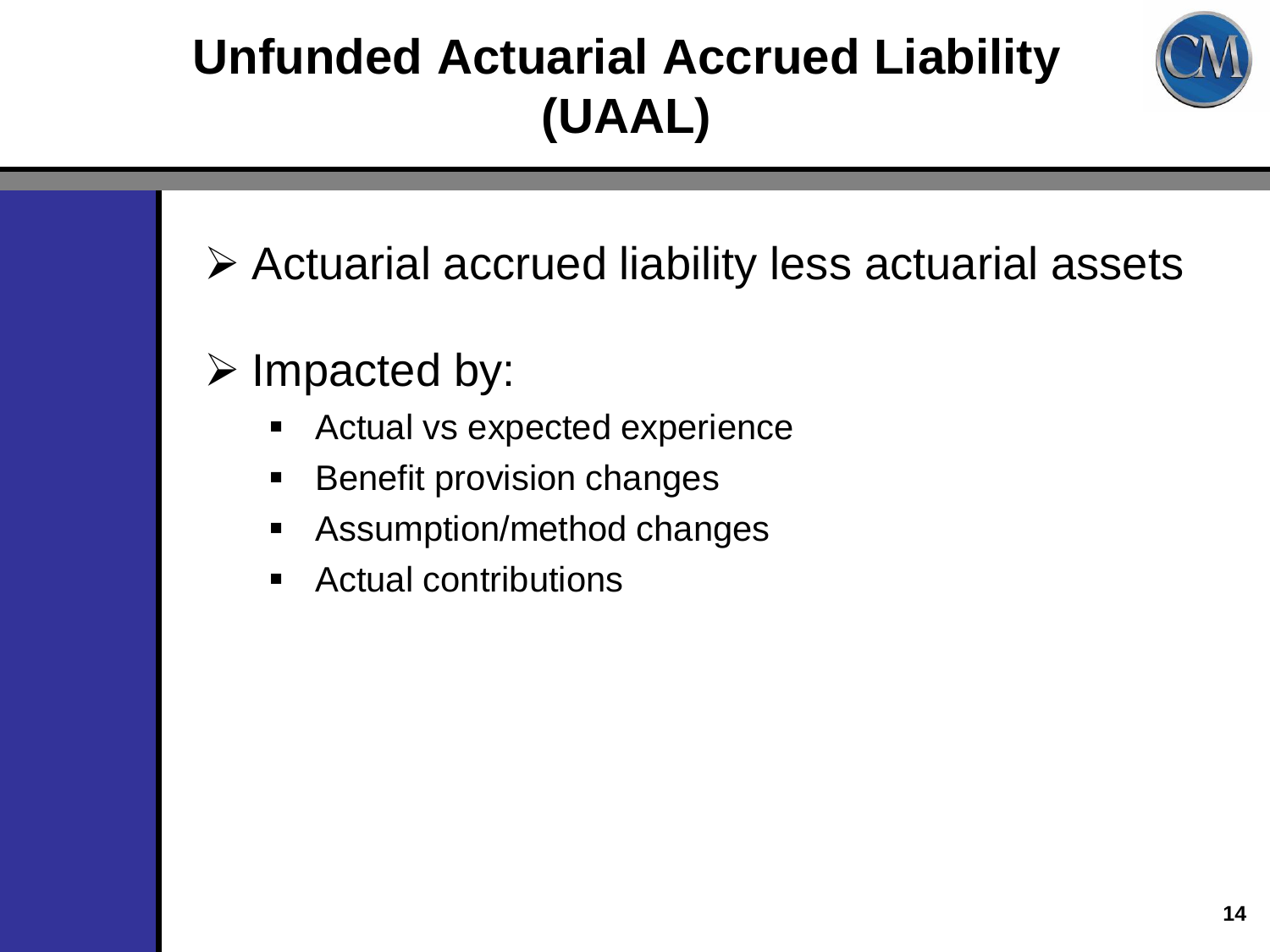## **Unfunded Actuarial Accrued Liability (UAAL)**



- Actuarial accrued liability less actuarial assets
- $\triangleright$  Impacted by:
	- **EXPLO Actual vs expected experience**
	- **Benefit provision changes**
	- **EXECUTE:** Assumption/method changes
	- Actual contributions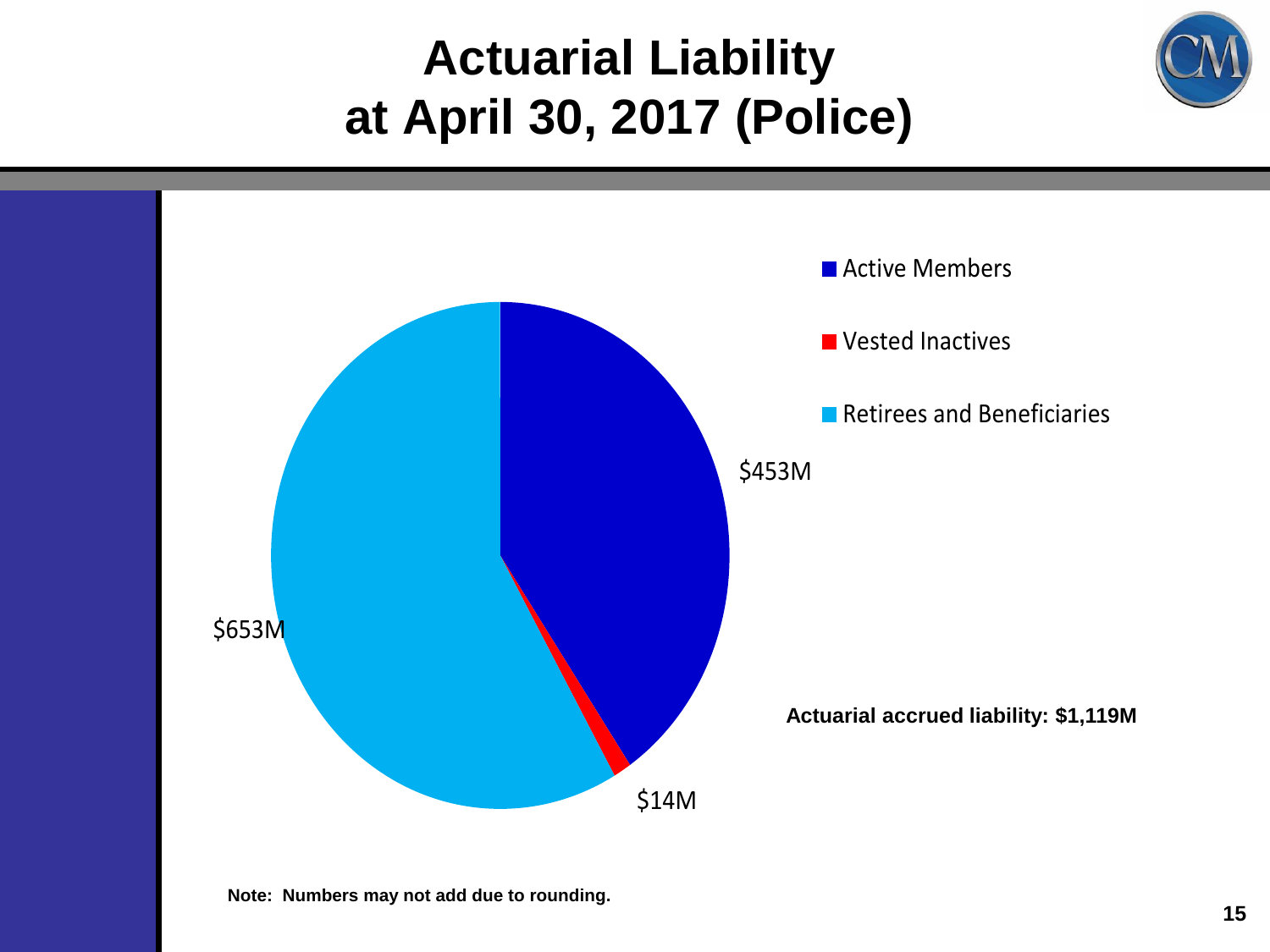#### **Actuarial Liability at April 30, 2017 (Police)**





**Note: Numbers may not add due to rounding.**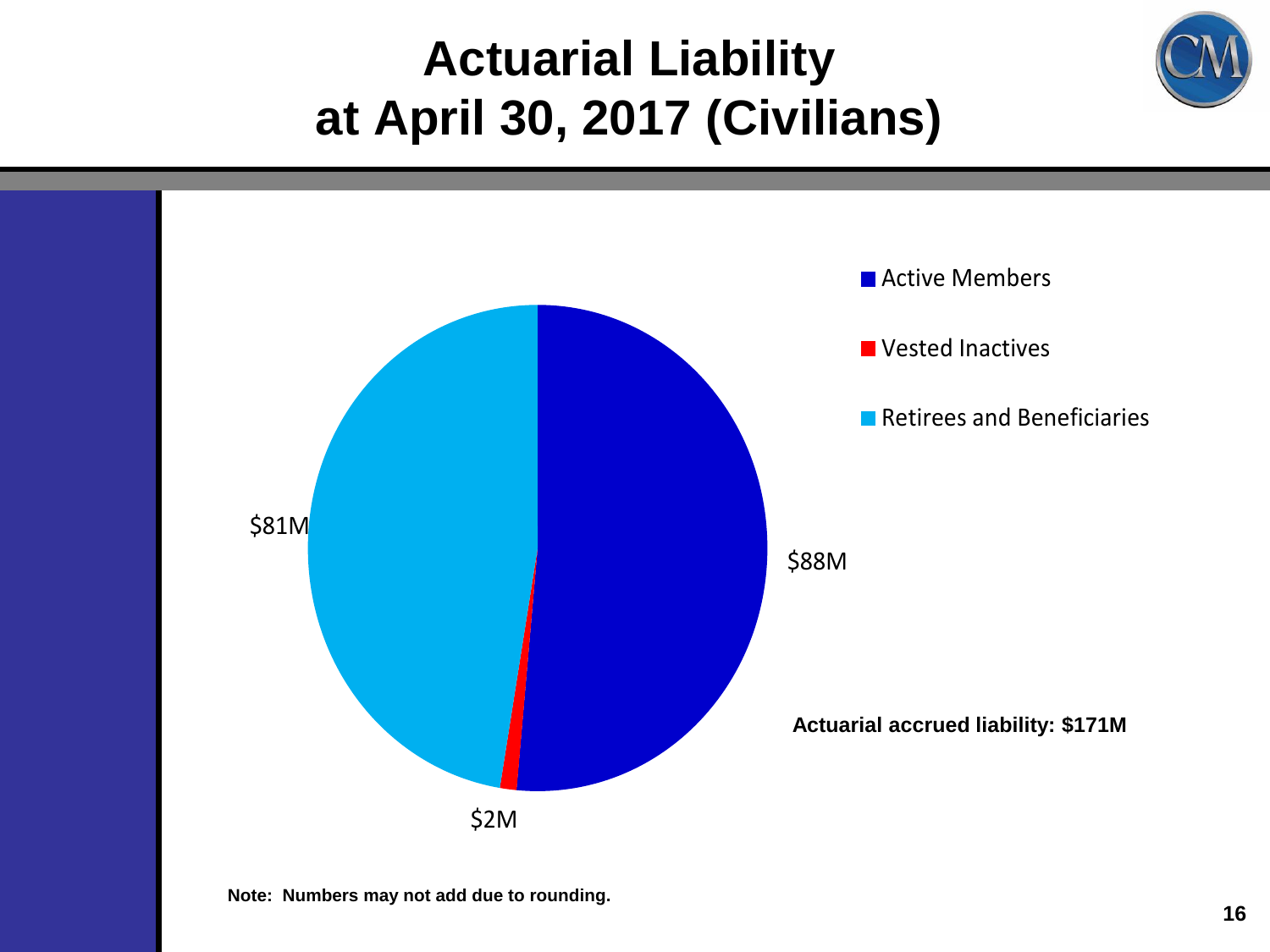#### **Actuarial Liability at April 30, 2017 (Civilians)**

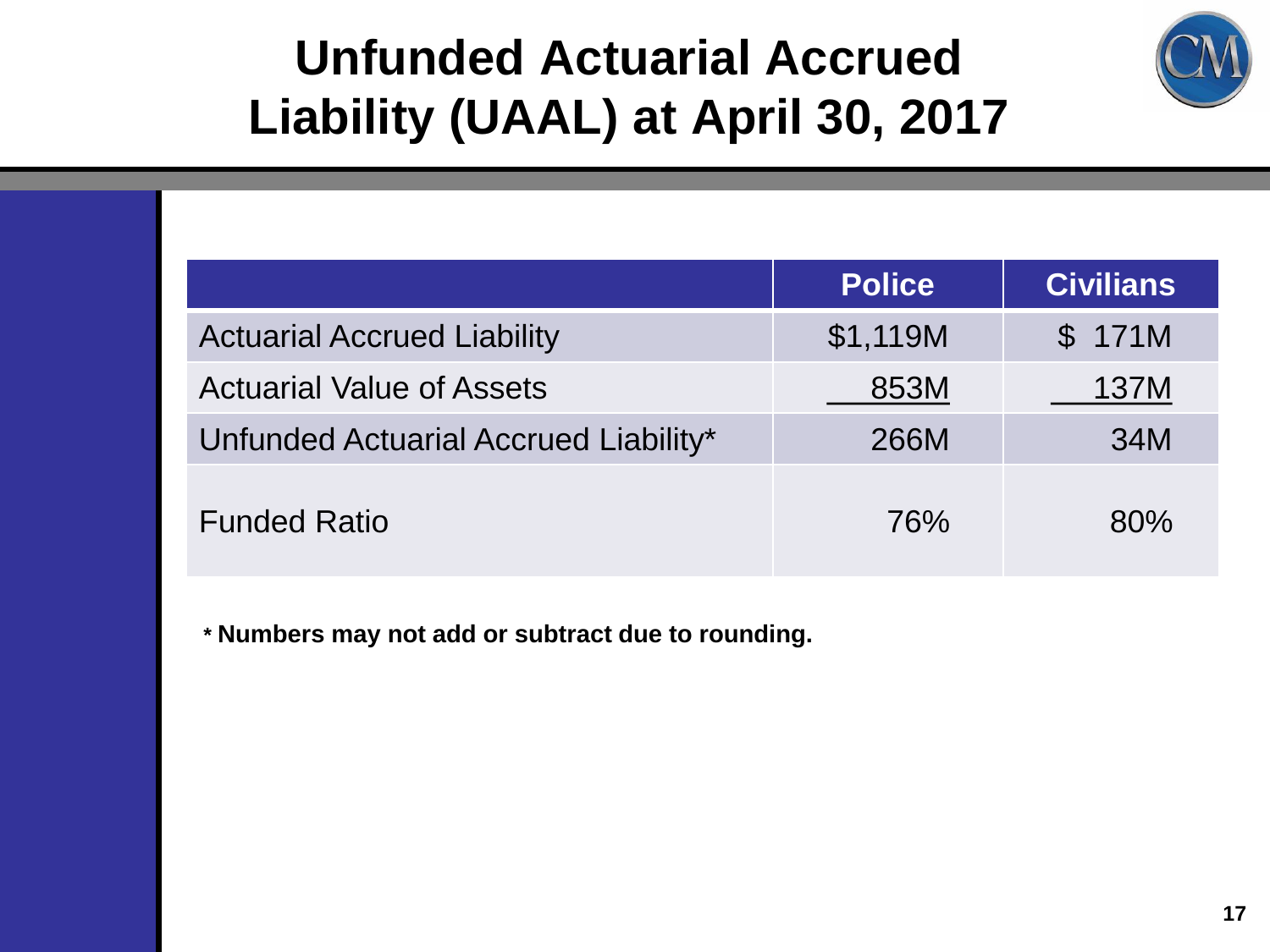

## **Unfunded Actuarial Accrued Liability (UAAL) at April 30, 2017**

|                                       | <b>Police</b> | <b>Civilians</b> |
|---------------------------------------|---------------|------------------|
| <b>Actuarial Accrued Liability</b>    | \$1,119M      | \$171M           |
| <b>Actuarial Value of Assets</b>      | 853M          | 137M             |
| Unfunded Actuarial Accrued Liability* | 266M          | 34M              |
| <b>Funded Ratio</b>                   | 76%           | 80%              |

**\* Numbers may not add or subtract due to rounding.**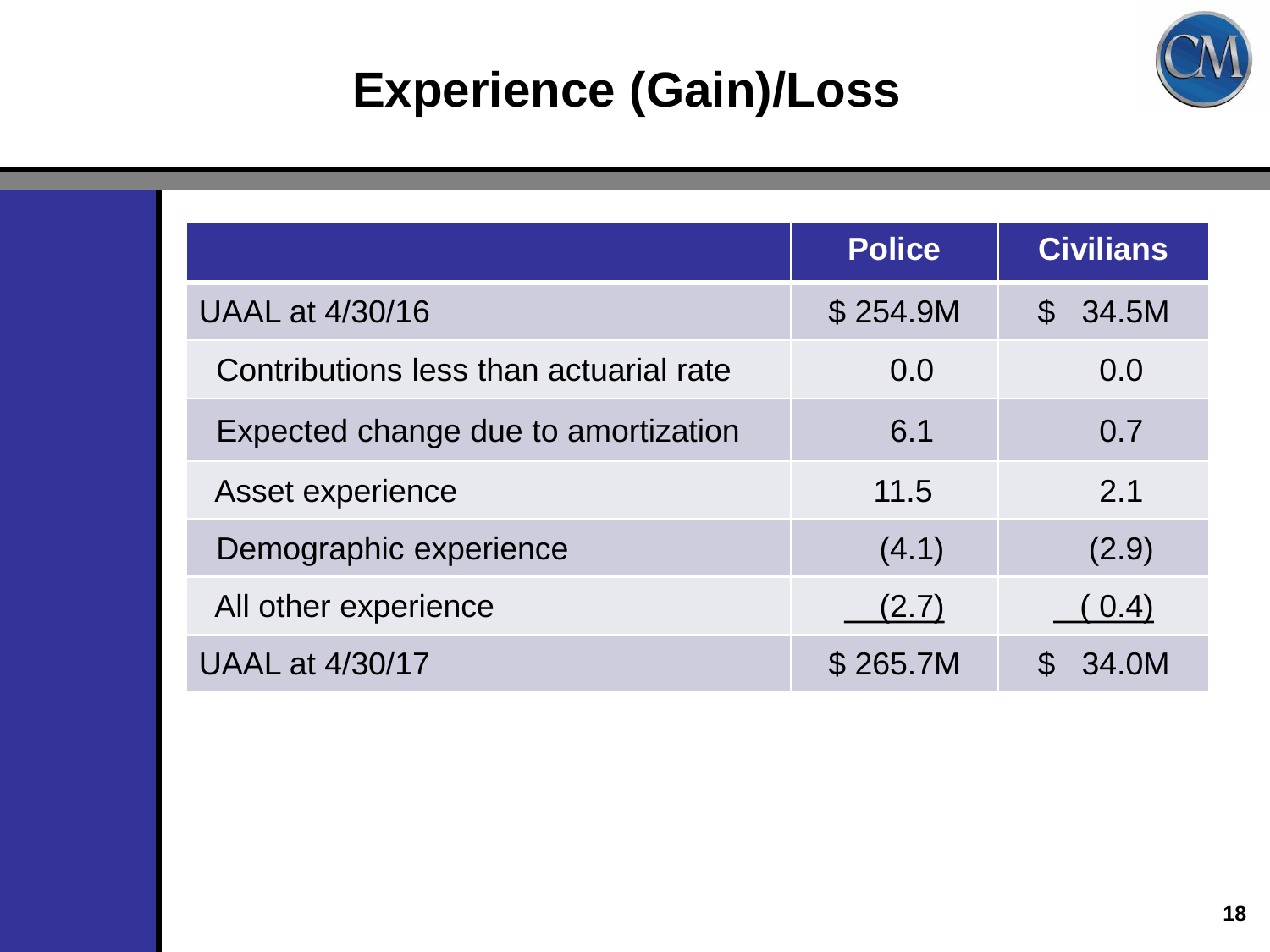

## **Experience (Gain)/Loss**

|                                        | <b>Police</b> | <b>Civilians</b>     |
|----------------------------------------|---------------|----------------------|
| UAAL at 4/30/16                        | \$254.9M      | 34.5M<br>$\mathbb S$ |
| Contributions less than actuarial rate | 0.0           | 0.0                  |
| Expected change due to amortization    | 6.1           | 0.7                  |
| Asset experience                       | 11.5          | 2.1                  |
| Demographic experience                 | (4.1)         | (2.9)                |
| All other experience                   | (2.7)         | (0.4)                |
| <b>UAAL at 4/30/17</b>                 | \$265.7M      | 34.0M                |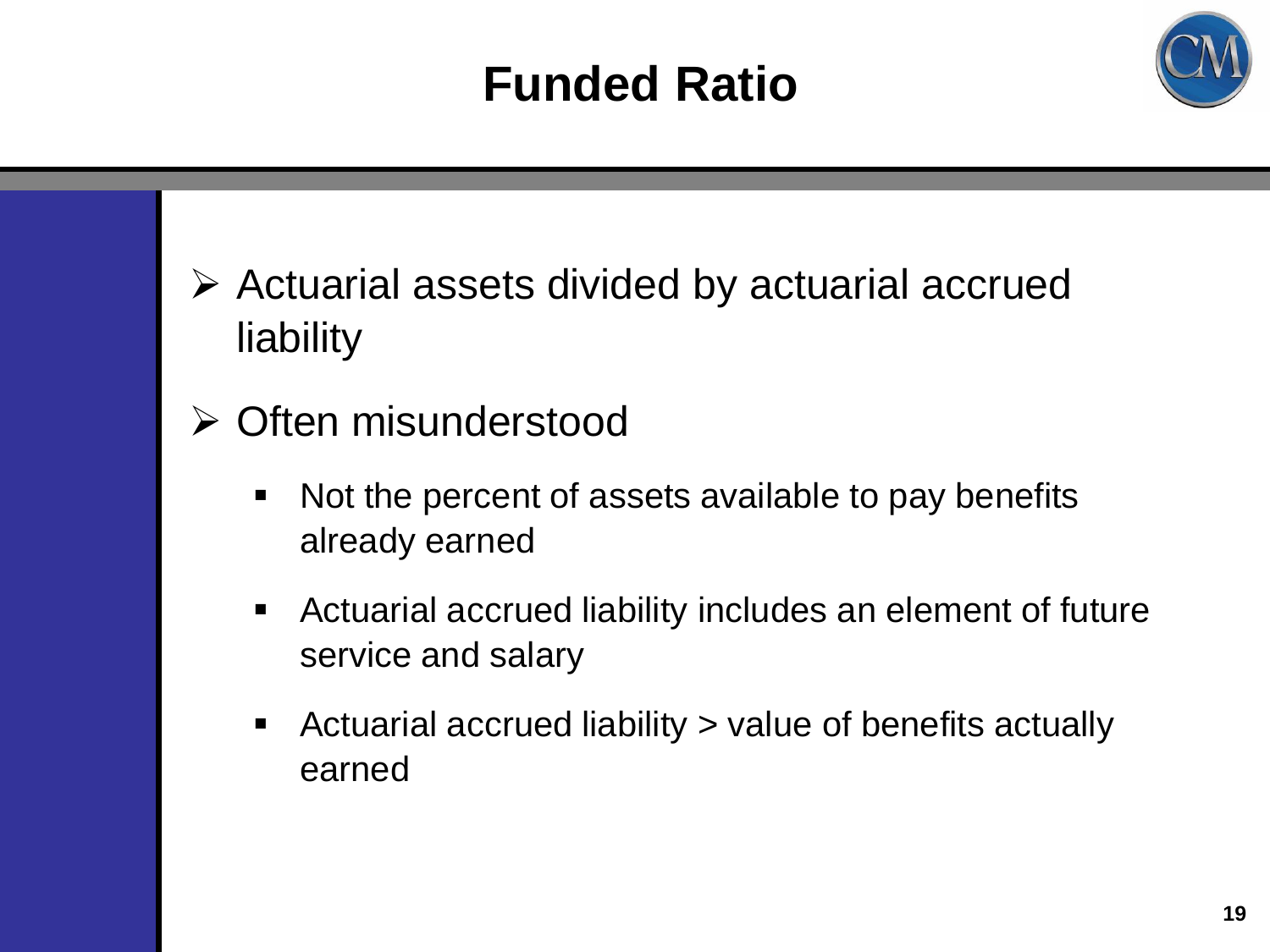## **Funded Ratio**



- $\triangleright$  Actuarial assets divided by actuarial accrued liability
- **≻ Often misunderstood** 
	- Not the percent of assets available to pay benefits already earned
	- Actuarial accrued liability includes an element of future service and salary
	- Actuarial accrued liability > value of benefits actually earned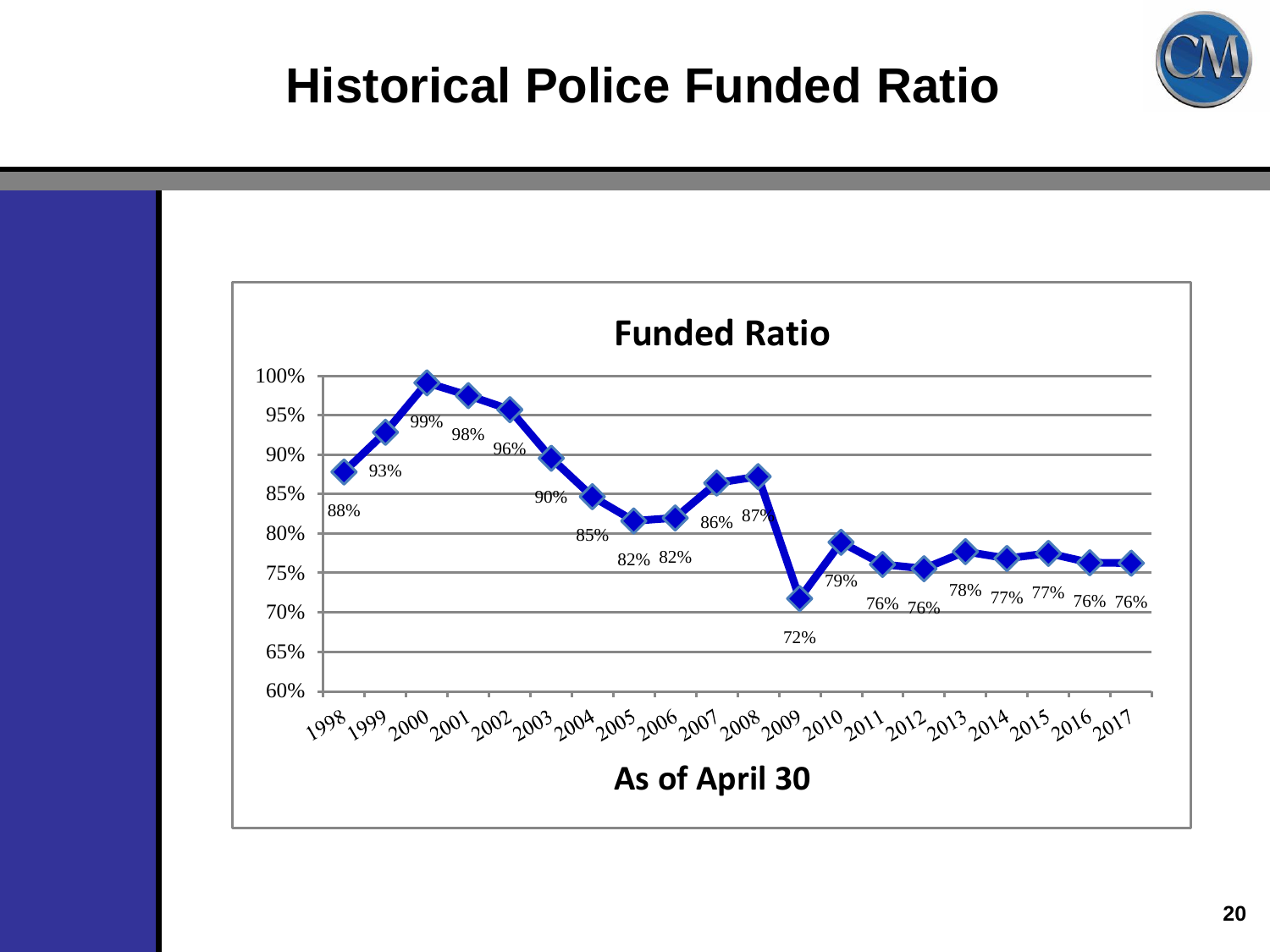

#### **Historical Police Funded Ratio**

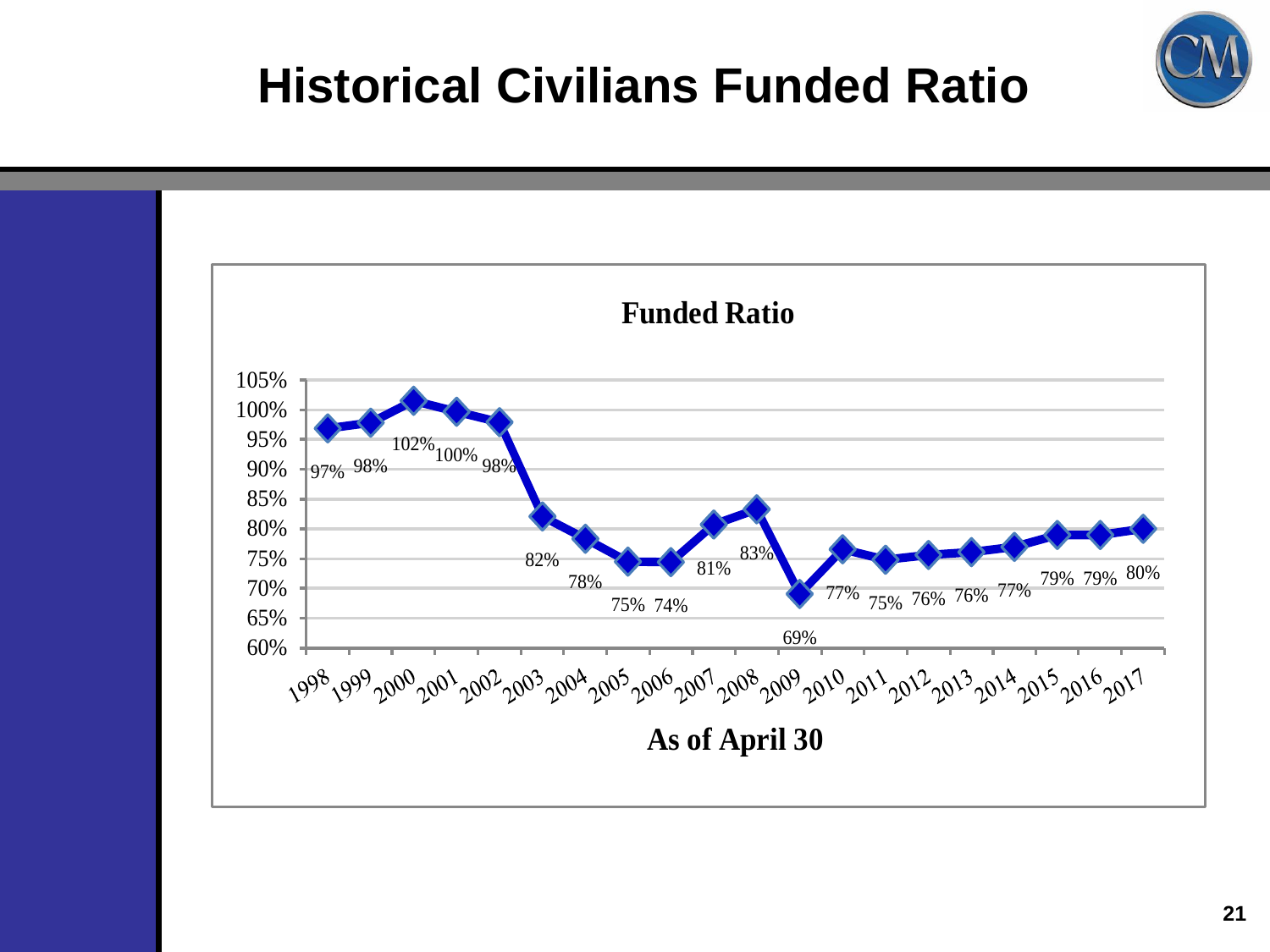

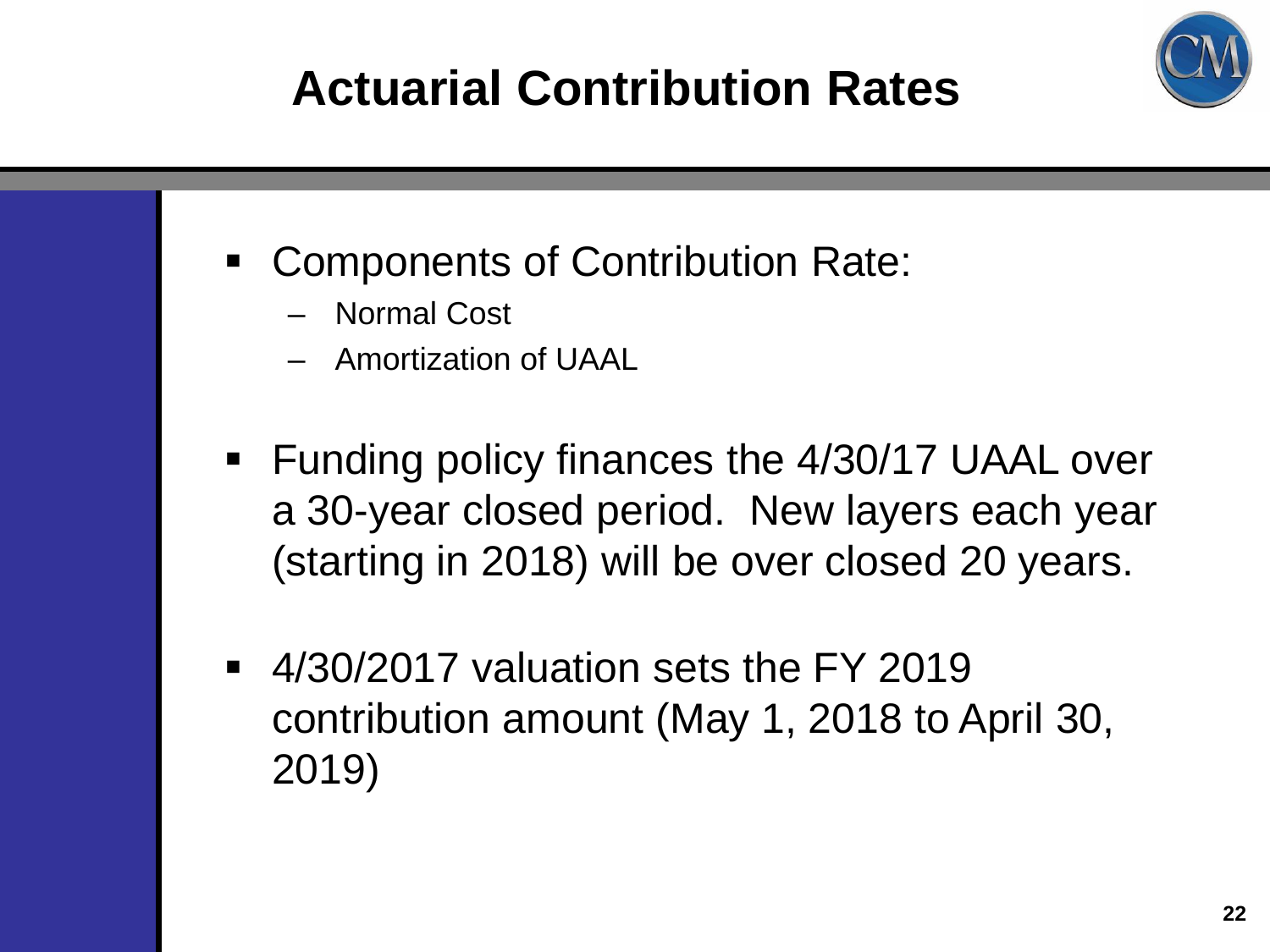# **Actuarial Contribution Rates**



- Components of Contribution Rate:
	- Normal Cost
	- Amortization of UAAL
- **Funding policy finances the 4/30/17 UAAL over** a 30-year closed period. New layers each year (starting in 2018) will be over closed 20 years.
- 4/30/2017 valuation sets the FY 2019 contribution amount (May 1, 2018 to April 30, 2019)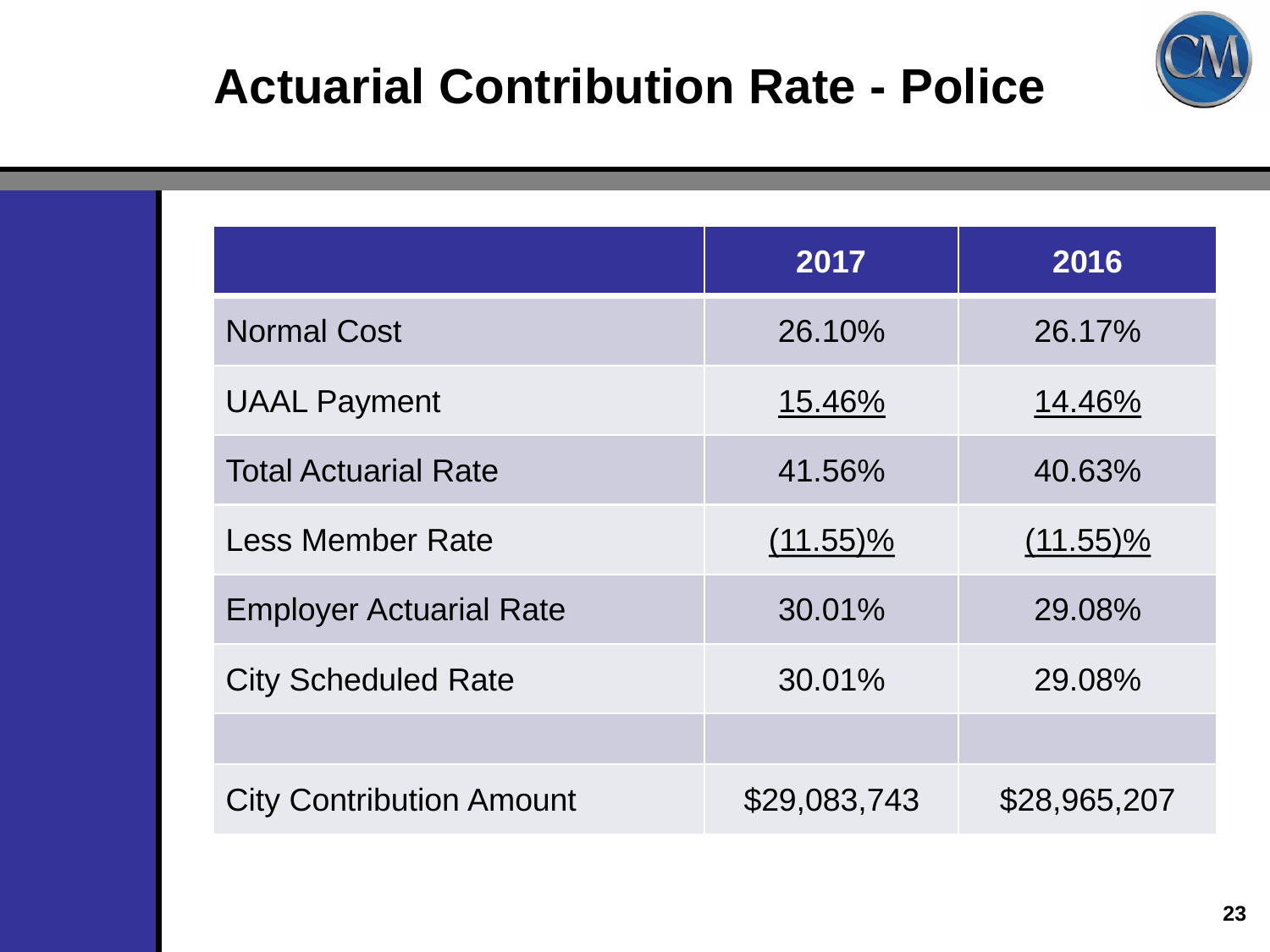

### **Actuarial Contribution Rate - Police**

|                                 | 2017         | 2016         |
|---------------------------------|--------------|--------------|
| <b>Normal Cost</b>              | 26.10%       | 26.17%       |
| <b>UAAL Payment</b>             | 15.46%       | 14.46%       |
| <b>Total Actuarial Rate</b>     | 41.56%       | 40.63%       |
| Less Member Rate                | $(11.55)\%$  | $(11.55)\%$  |
| <b>Employer Actuarial Rate</b>  | 30.01%       | 29.08%       |
| <b>City Scheduled Rate</b>      | 30.01%       | 29.08%       |
|                                 |              |              |
| <b>City Contribution Amount</b> | \$29,083,743 | \$28,965,207 |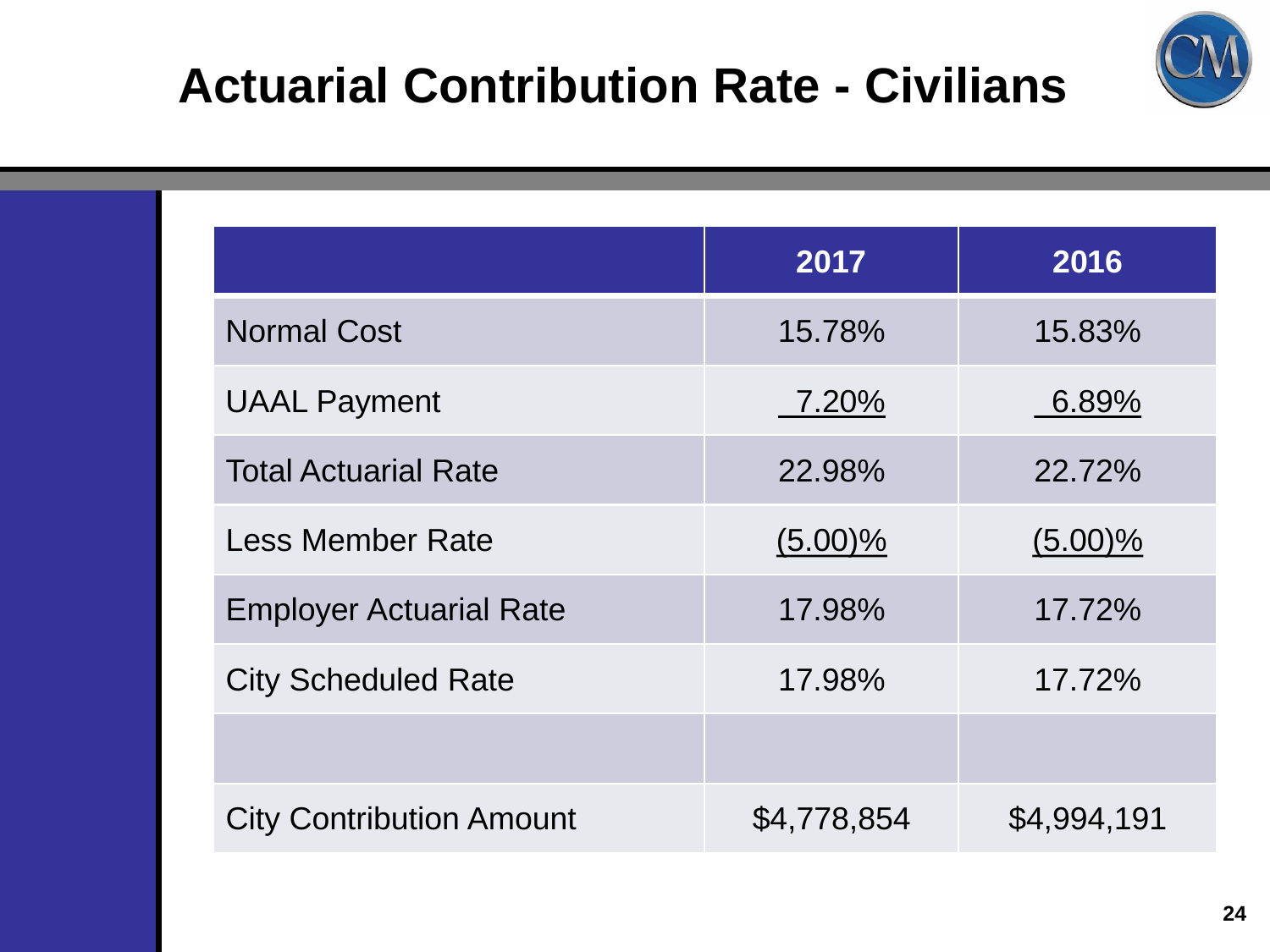



|                                 | 2017        | 2016        |
|---------------------------------|-------------|-------------|
| <b>Normal Cost</b>              | 15.78%      | 15.83%      |
| <b>UAAL Payment</b>             | 7.20%       | 6.89%       |
| <b>Total Actuarial Rate</b>     | 22.98%      | 22.72%      |
| <b>Less Member Rate</b>         | $(5.00)\%$  | $(5.00)\%$  |
| <b>Employer Actuarial Rate</b>  | 17.98%      | 17.72%      |
| <b>City Scheduled Rate</b>      | 17.98%      | 17.72%      |
|                                 |             |             |
| <b>City Contribution Amount</b> | \$4,778,854 | \$4,994,191 |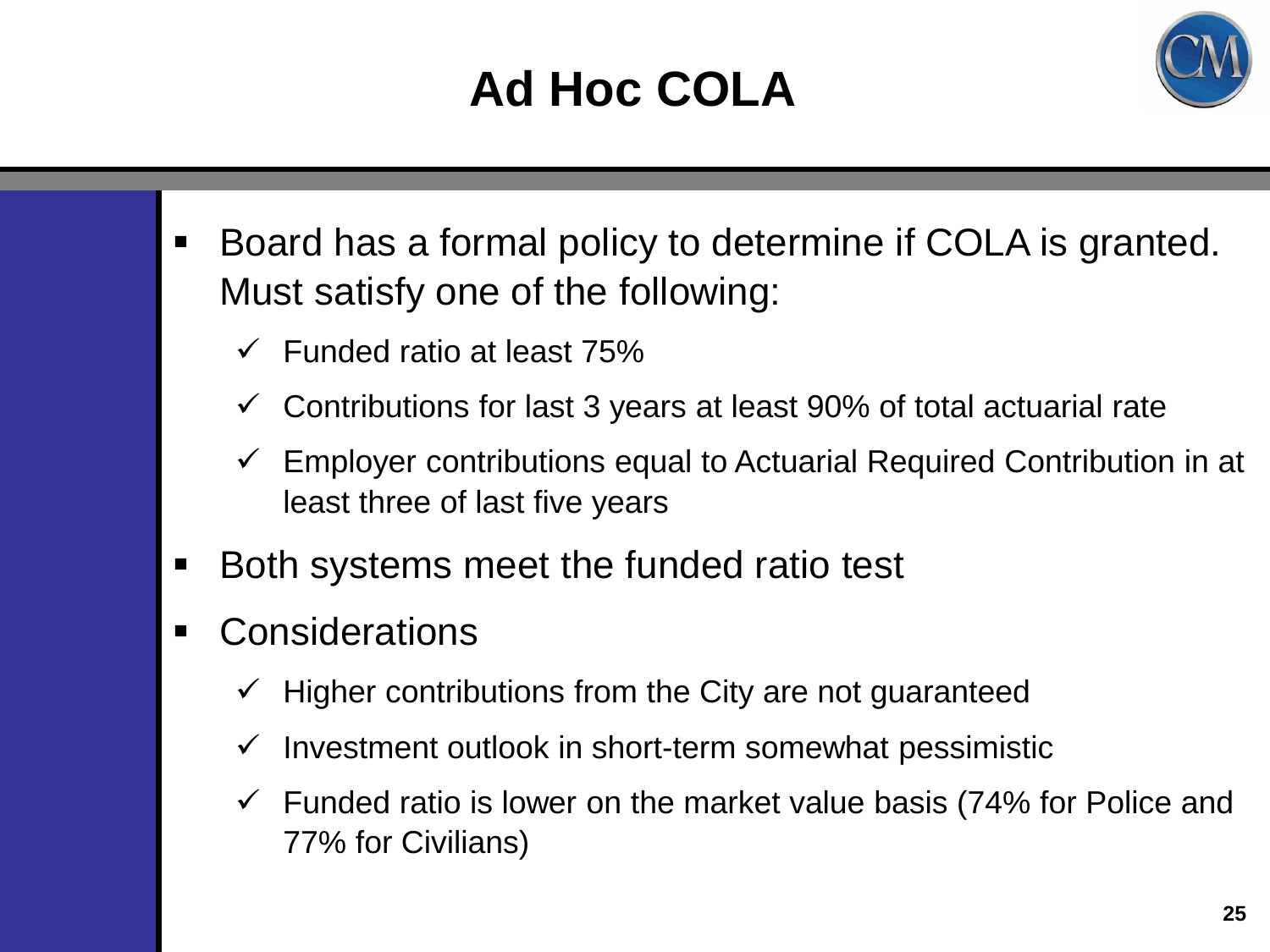# **Ad Hoc COLA**



- Board has a formal policy to determine if COLA is granted. Must satisfy one of the following:
	- $\checkmark$  Funded ratio at least 75%
	- Contributions for last 3 years at least 90% of total actuarial rate
	- $\checkmark$  Employer contributions equal to Actuarial Required Contribution in at least three of last five years
- **Both systems meet the funded ratio test**
- Considerations
	- $\checkmark$  Higher contributions from the City are not guaranteed
	- $\checkmark$  Investment outlook in short-term somewhat pessimistic
	- $\checkmark$  Funded ratio is lower on the market value basis (74% for Police and 77% for Civilians)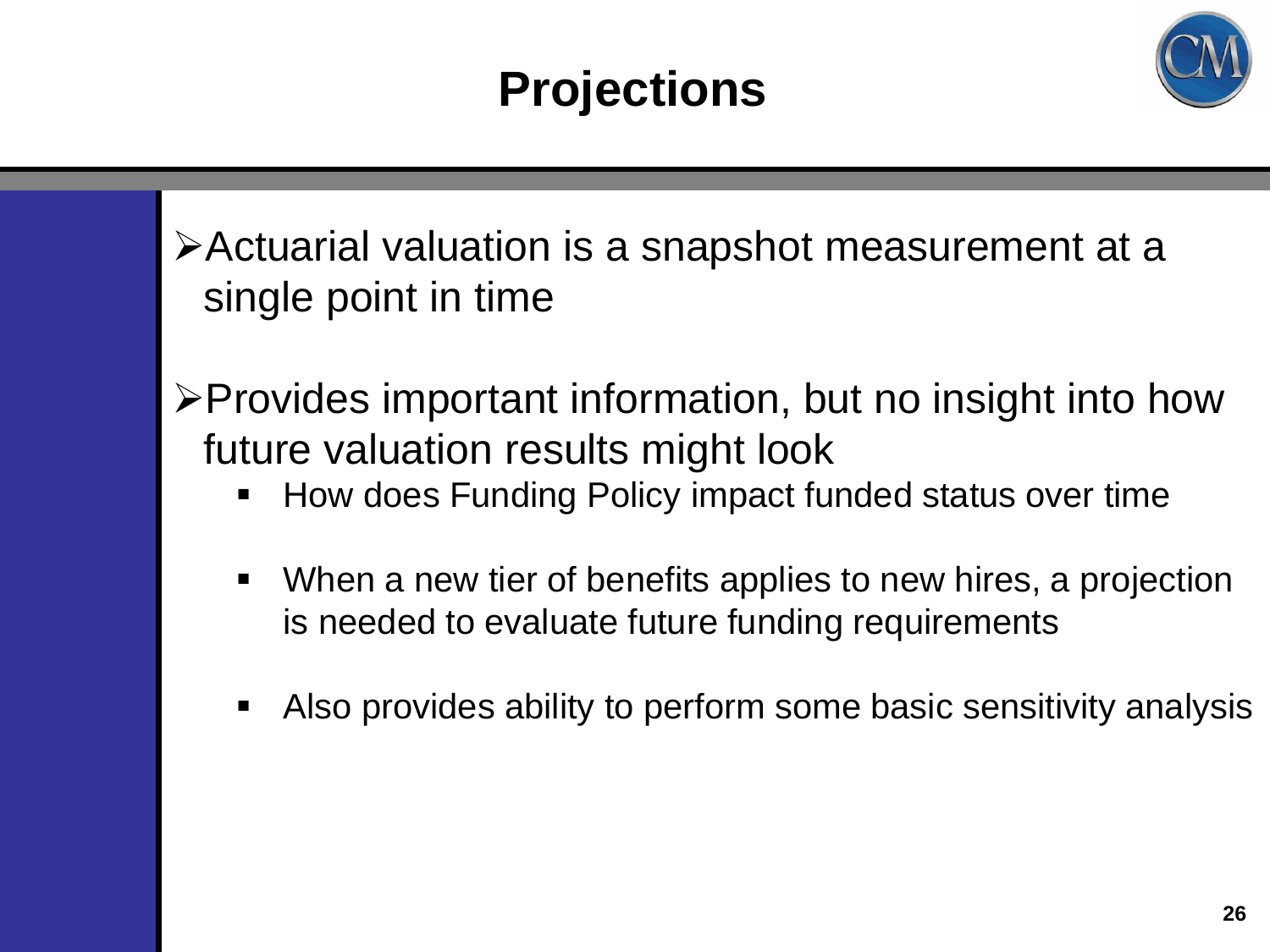

Actuarial valuation is a snapshot measurement at a single point in time

Provides important information, but no insight into how future valuation results might look

- How does Funding Policy impact funded status over time
- When a new tier of benefits applies to new hires, a projection is needed to evaluate future funding requirements
- Also provides ability to perform some basic sensitivity analysis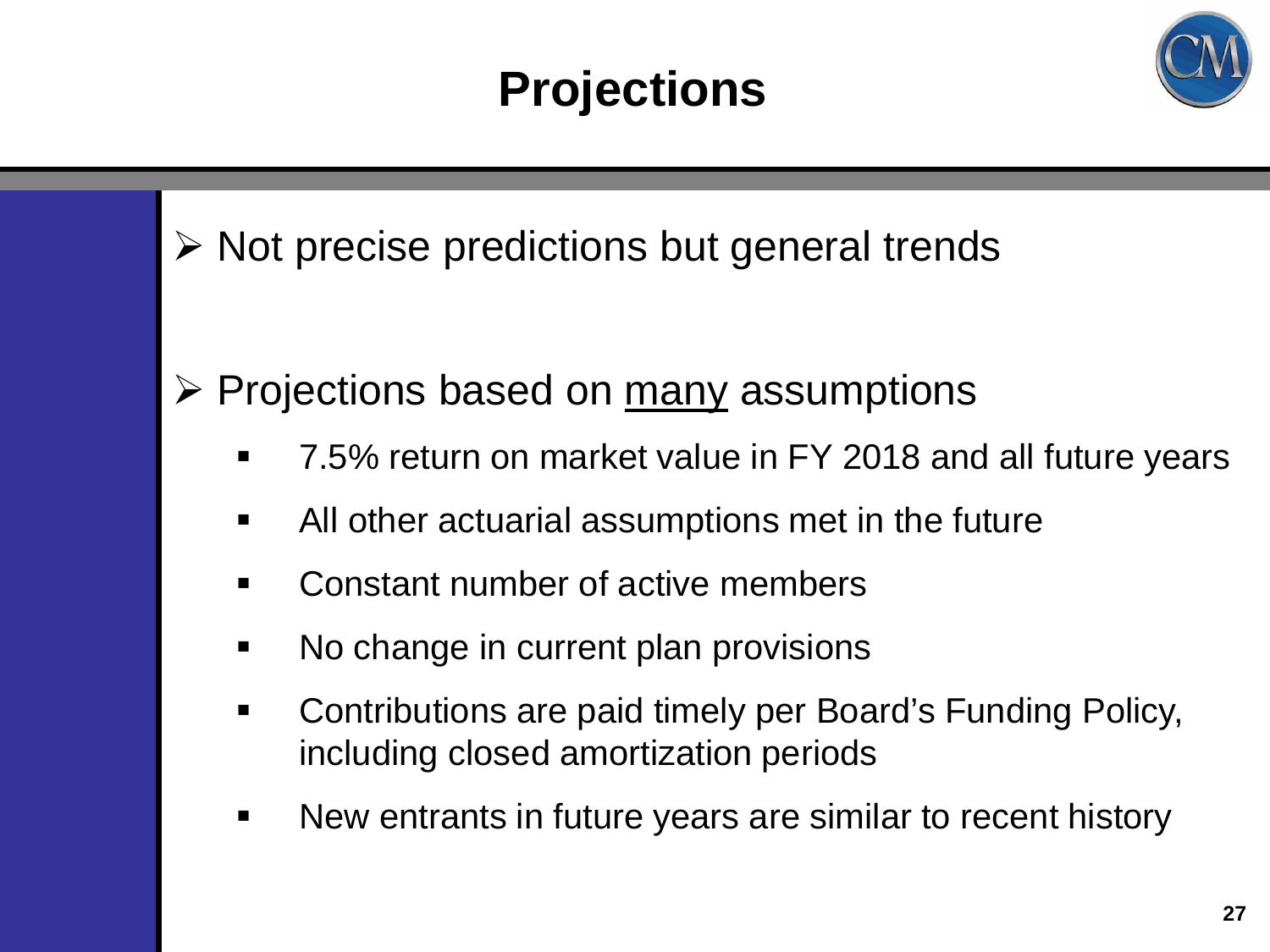## **Projections**



 $\triangleright$  Not precise predictions but general trends

 $\triangleright$  Projections based on  $\overline{\text{many}}$  assumptions

- 7.5% return on market value in FY 2018 and all future years
- All other actuarial assumptions met in the future
- Constant number of active members
- No change in current plan provisions
- Contributions are paid timely per Board's Funding Policy, including closed amortization periods
- New entrants in future years are similar to recent history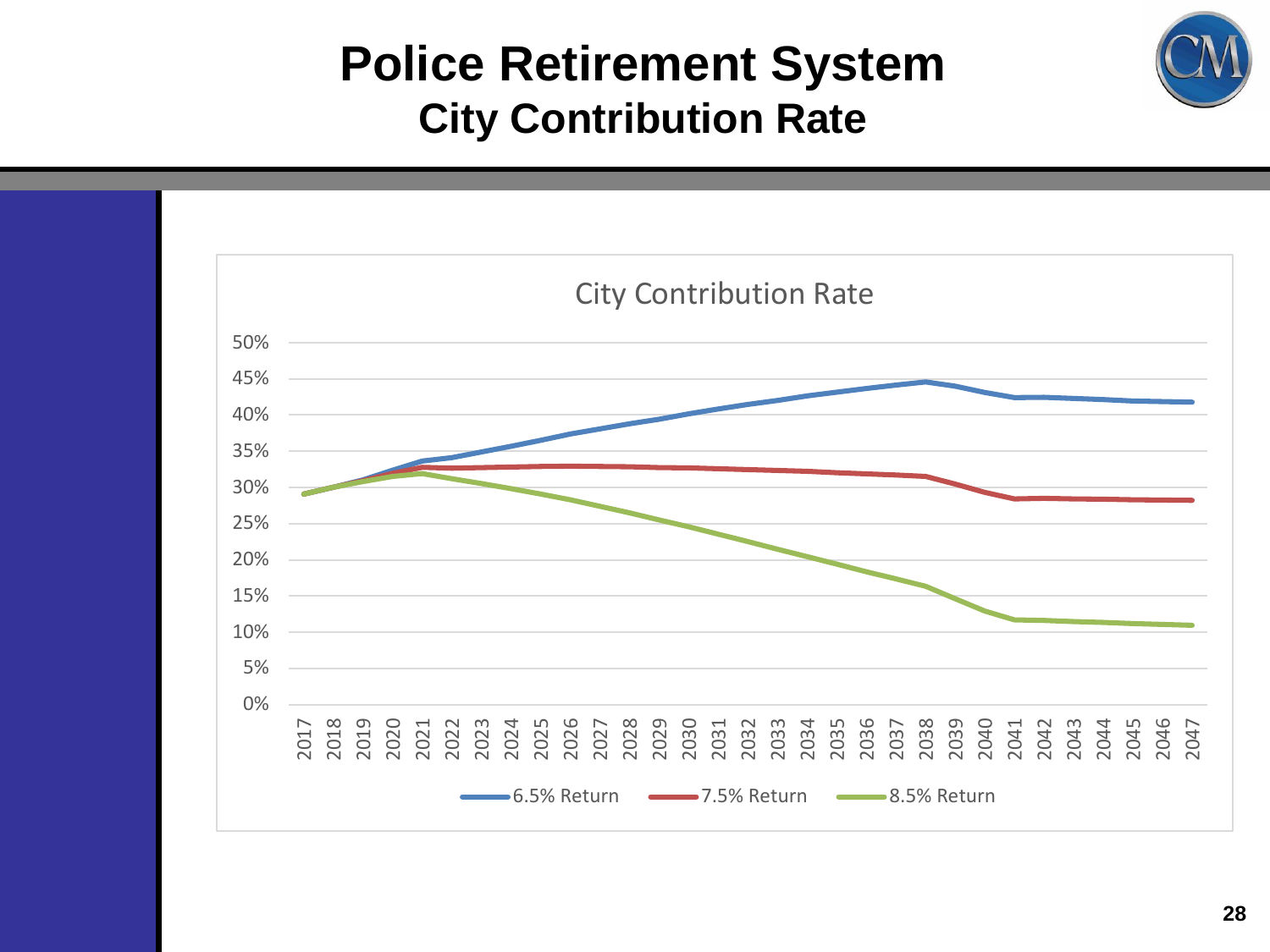#### **Police Retirement System City Contribution Rate**



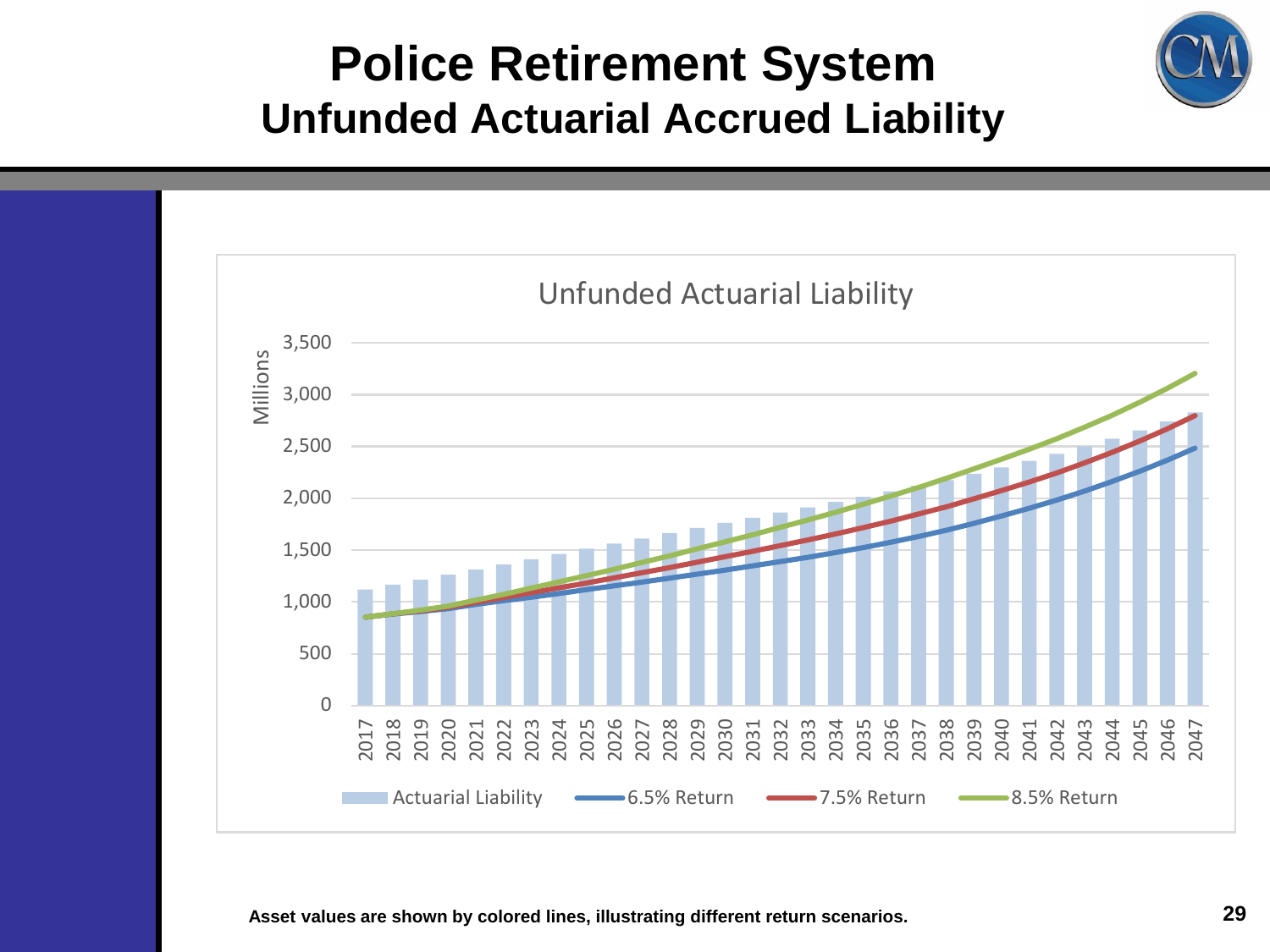

#### **Police Retirement System Unfunded Actuarial Accrued Liability**



**Asset values are shown by colored lines, illustrating different return scenarios.**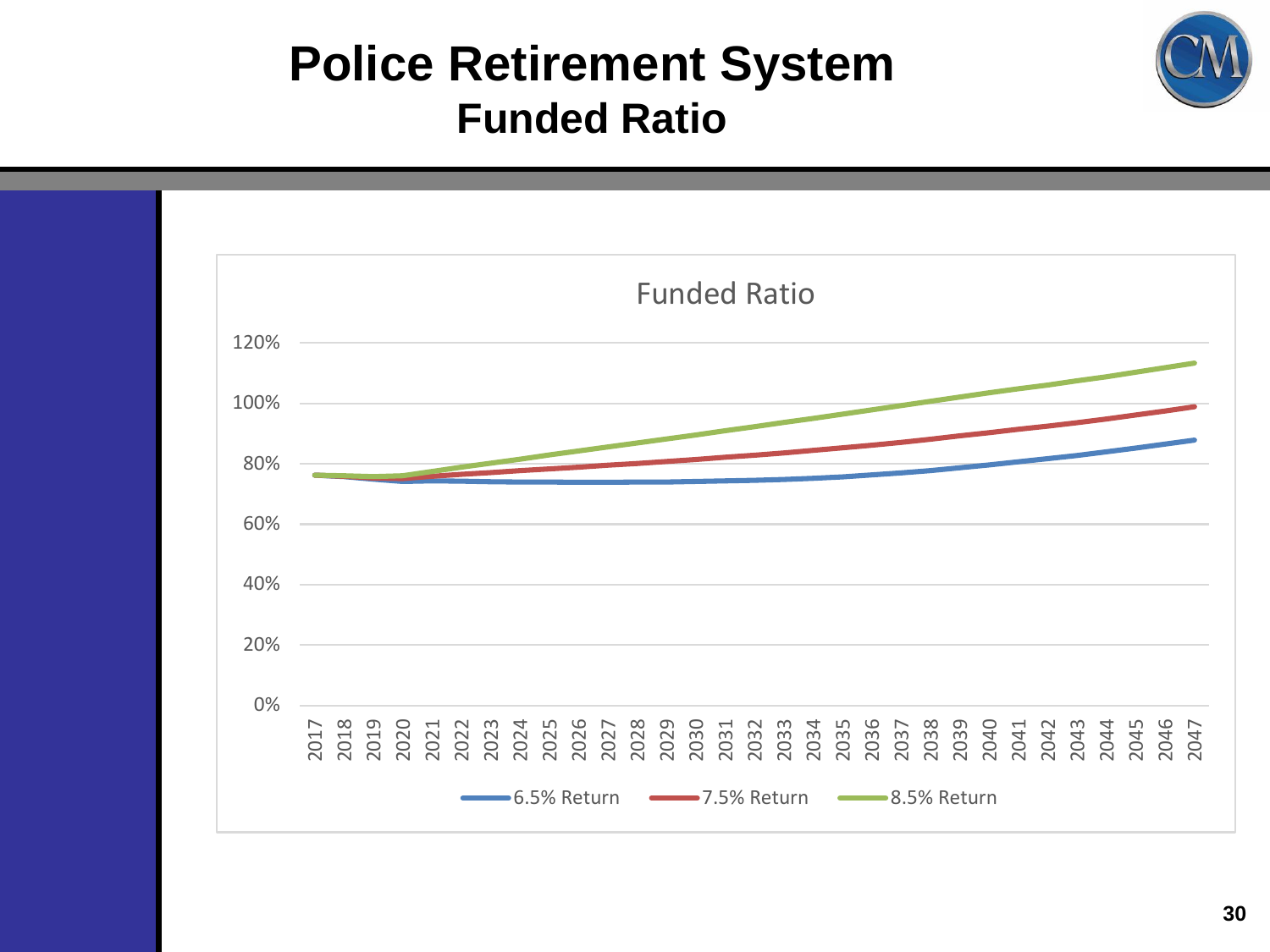#### **Police Retirement System Funded Ratio**

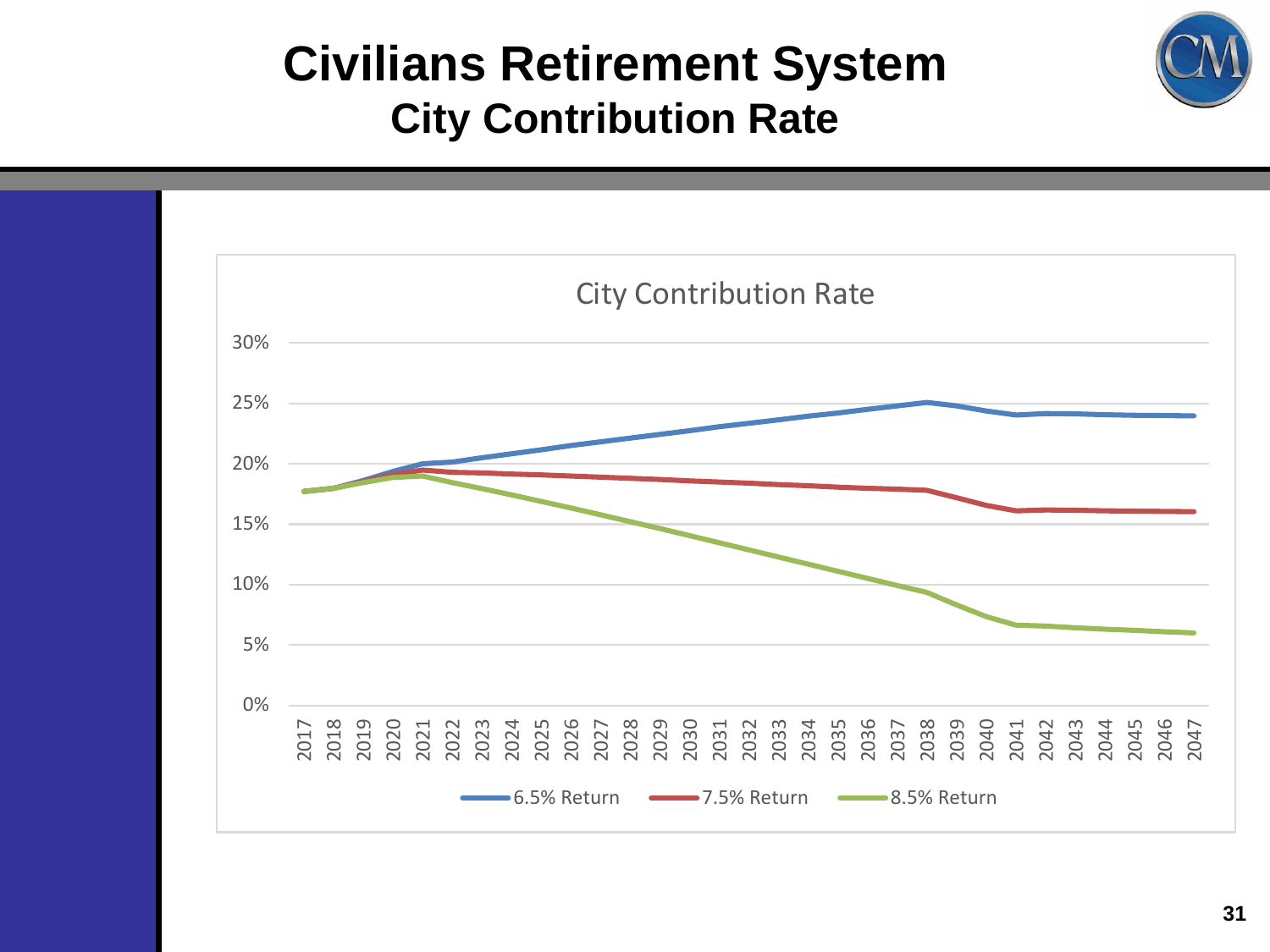#### **Civilians Retirement System City Contribution Rate**

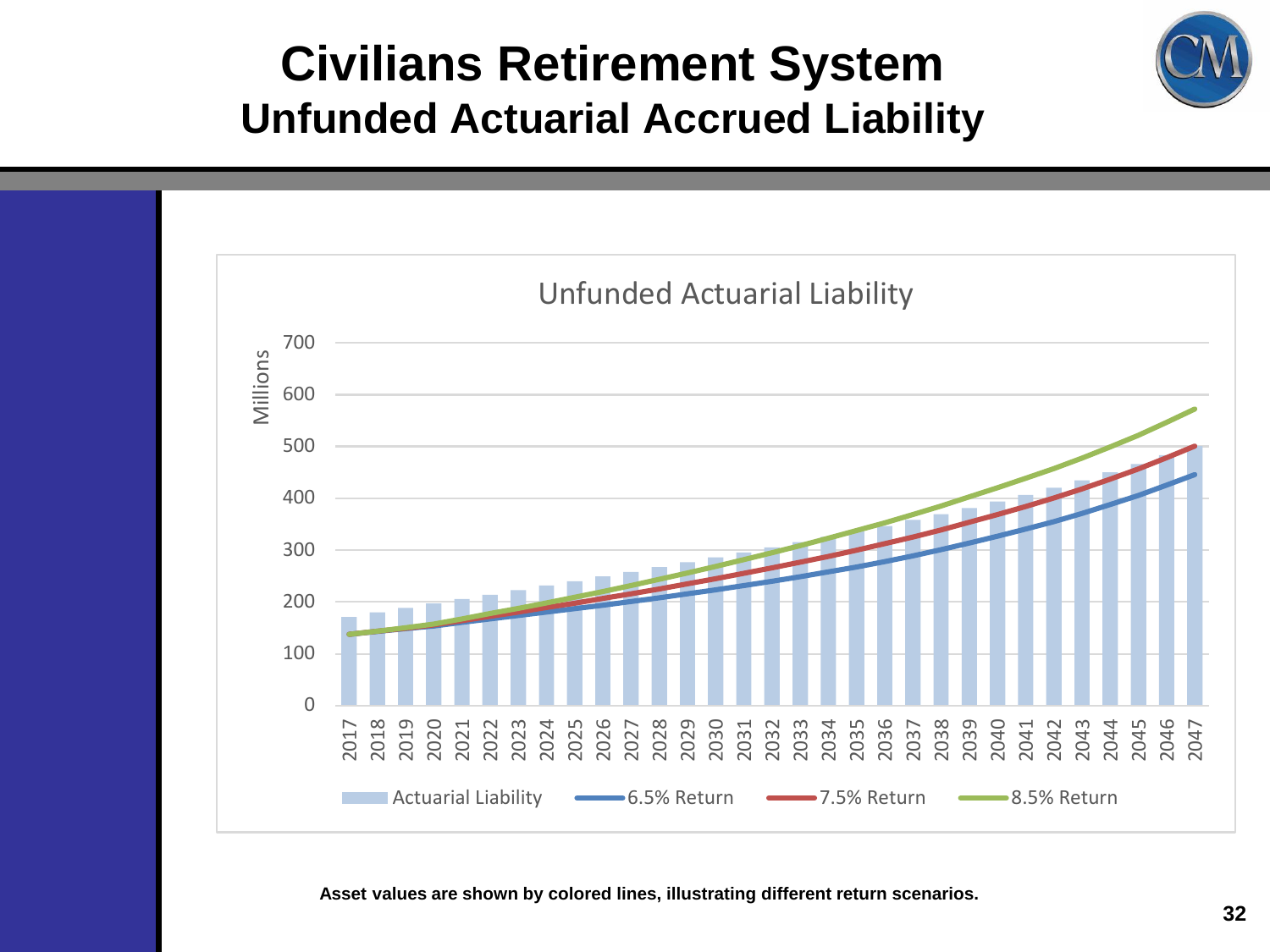#### **Civilians Retirement System Unfunded Actuarial Accrued Liability**



**Asset values are shown by colored lines, illustrating different return scenarios.**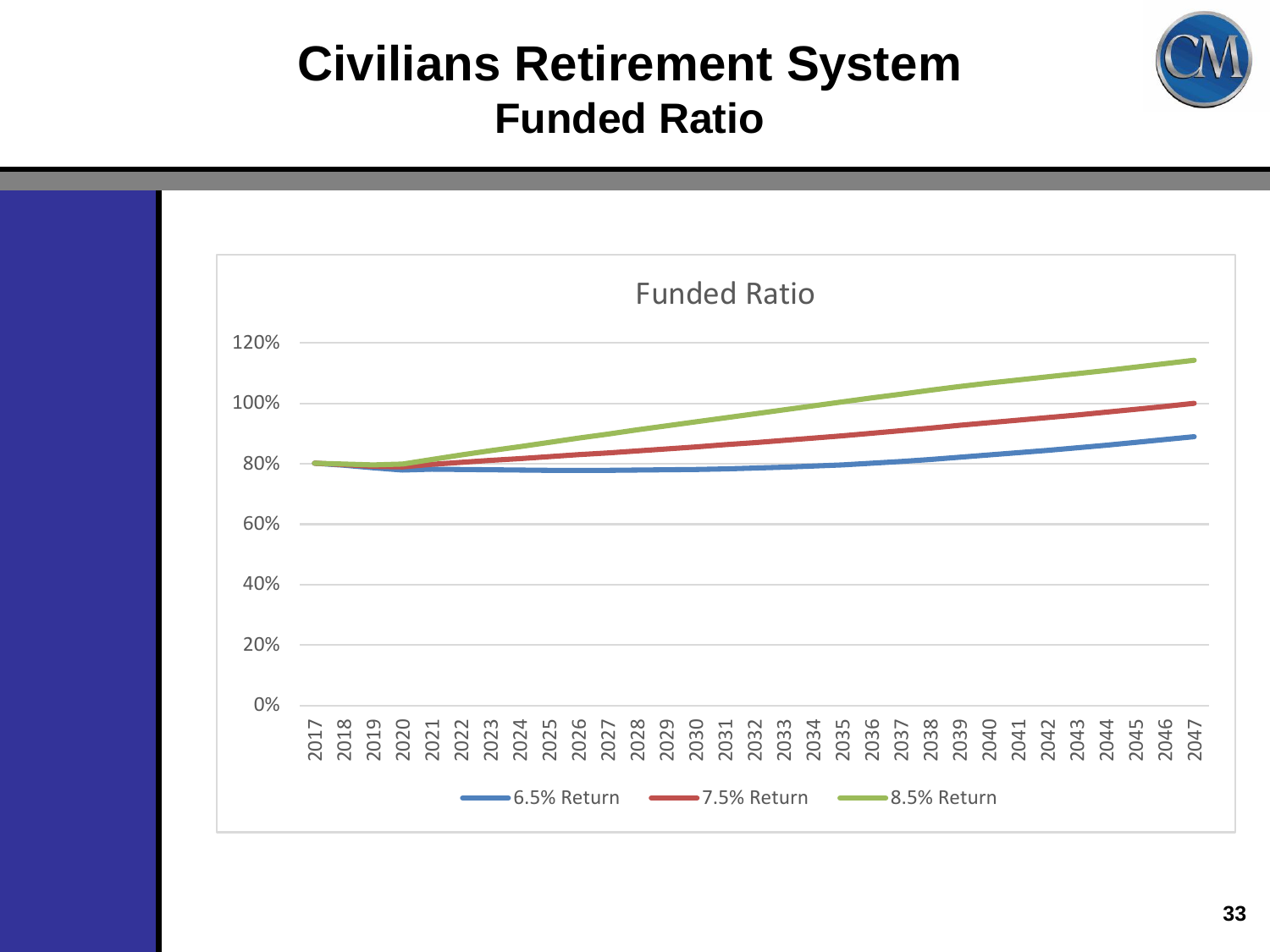

#### **Civilians Retirement System Funded Ratio**

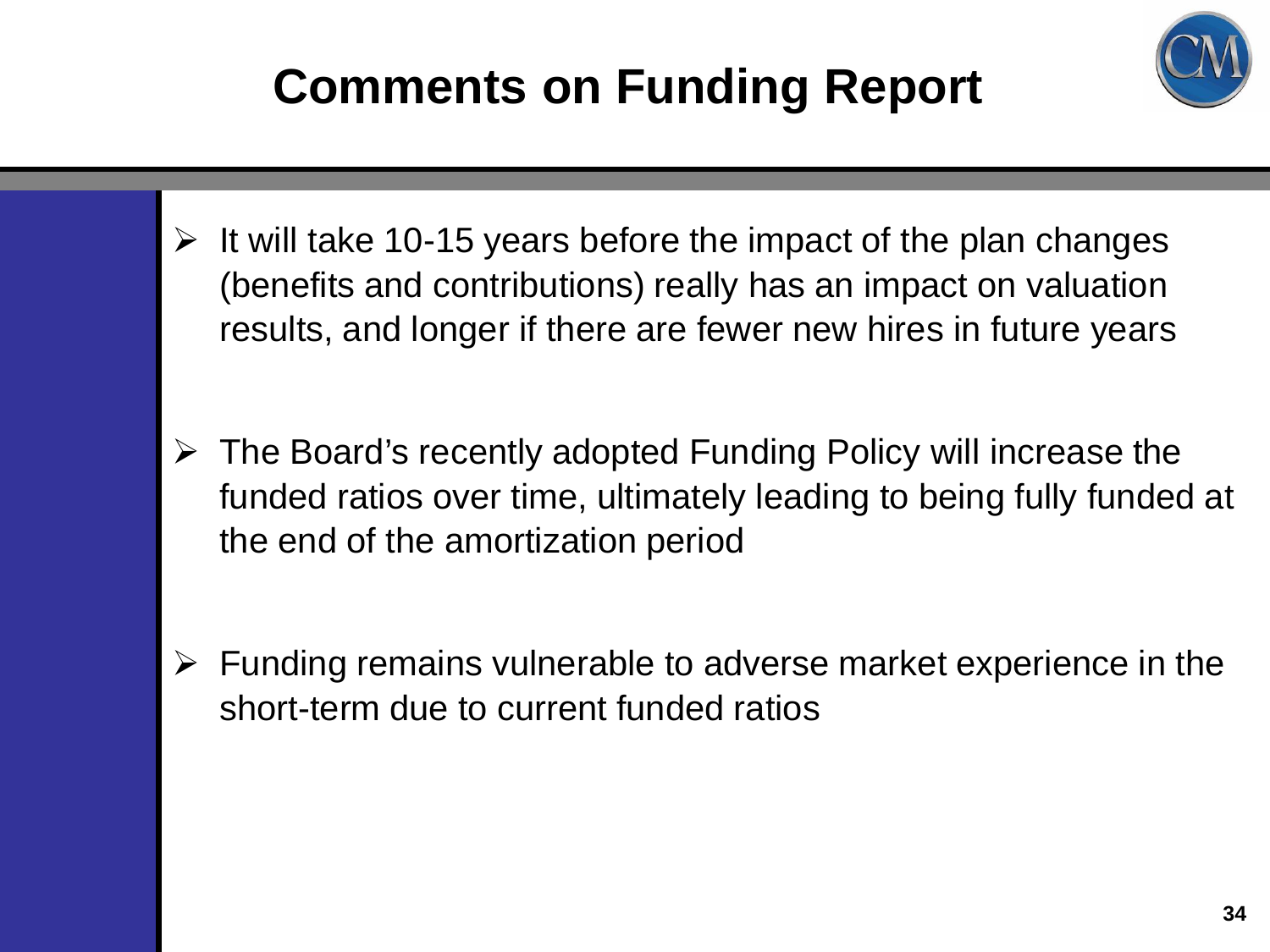# **Comments on Funding Report**



- $\geq$  It will take 10-15 years before the impact of the plan changes (benefits and contributions) really has an impact on valuation results, and longer if there are fewer new hires in future years
- $\triangleright$  The Board's recently adopted Funding Policy will increase the funded ratios over time, ultimately leading to being fully funded at the end of the amortization period
- $\triangleright$  Funding remains vulnerable to adverse market experience in the short-term due to current funded ratios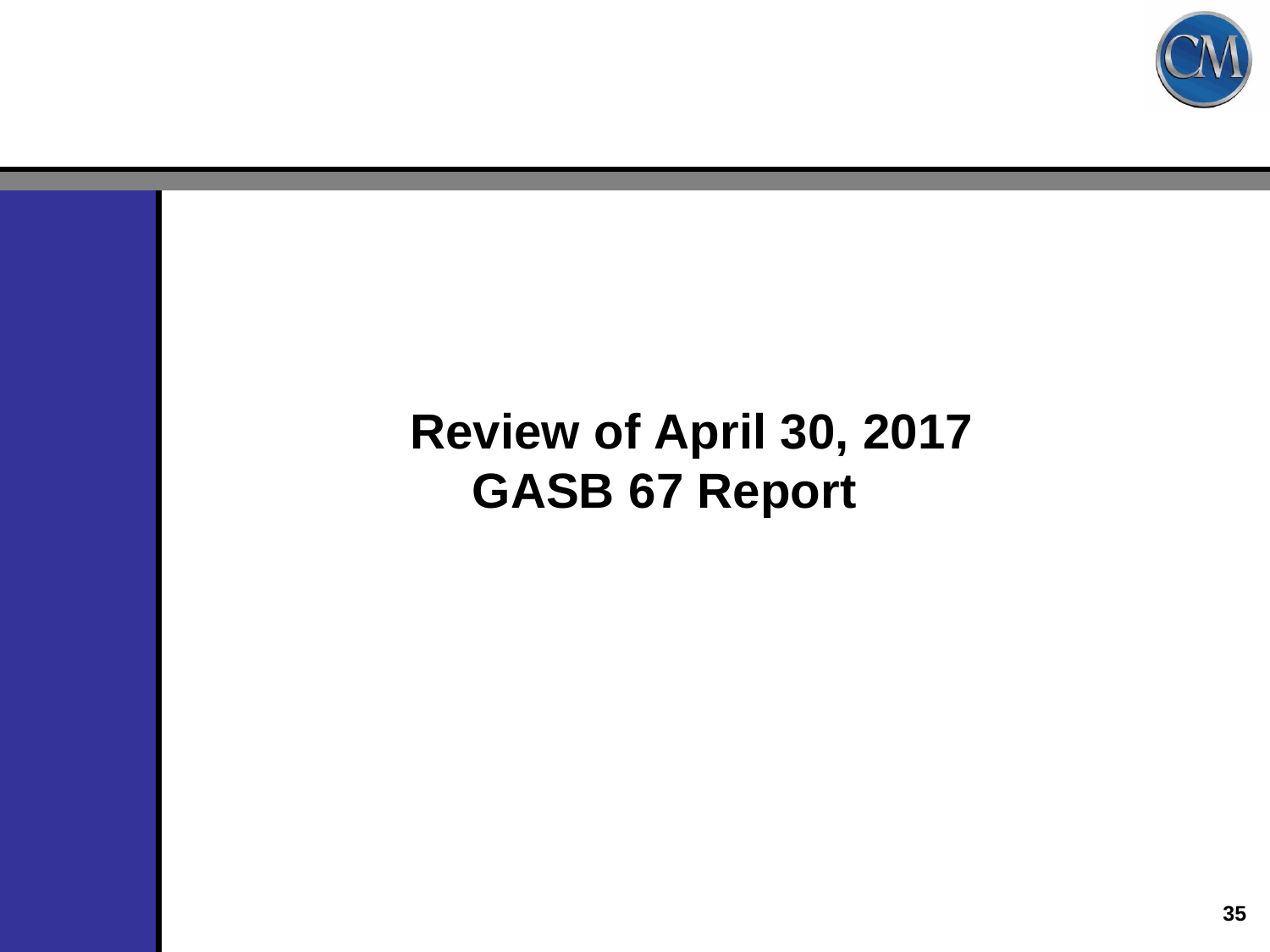

#### **Review of April 30, 2017 GASB 67 Report**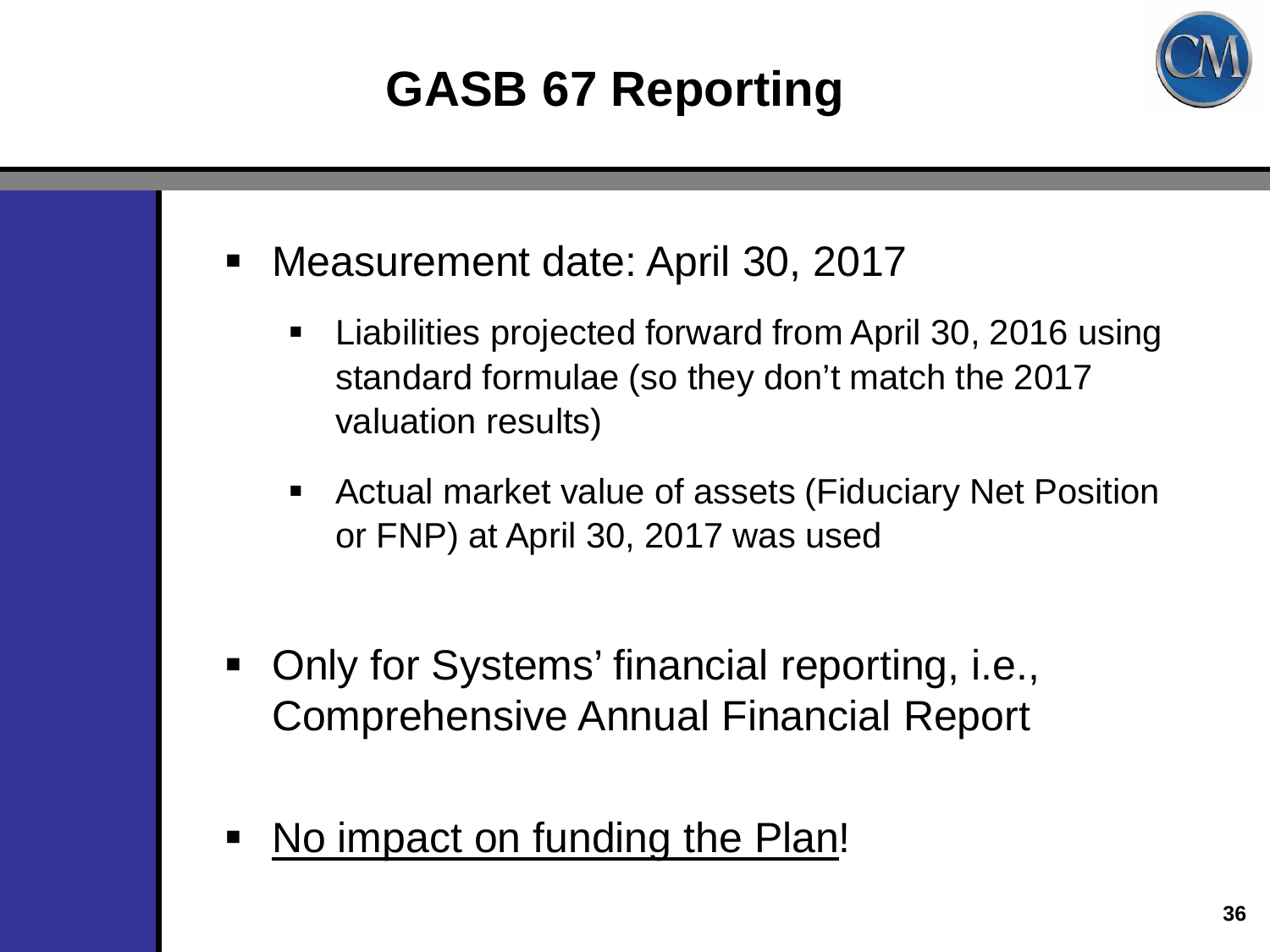## **GASB 67 Reporting**



- Measurement date: April 30, 2017
	- Liabilities projected forward from April 30, 2016 using standard formulae (so they don't match the 2017 valuation results)
	- Actual market value of assets (Fiduciary Net Position or FNP) at April 30, 2017 was used
- Only for Systems' financial reporting, i.e., Comprehensive Annual Financial Report
- No impact on funding the Plan!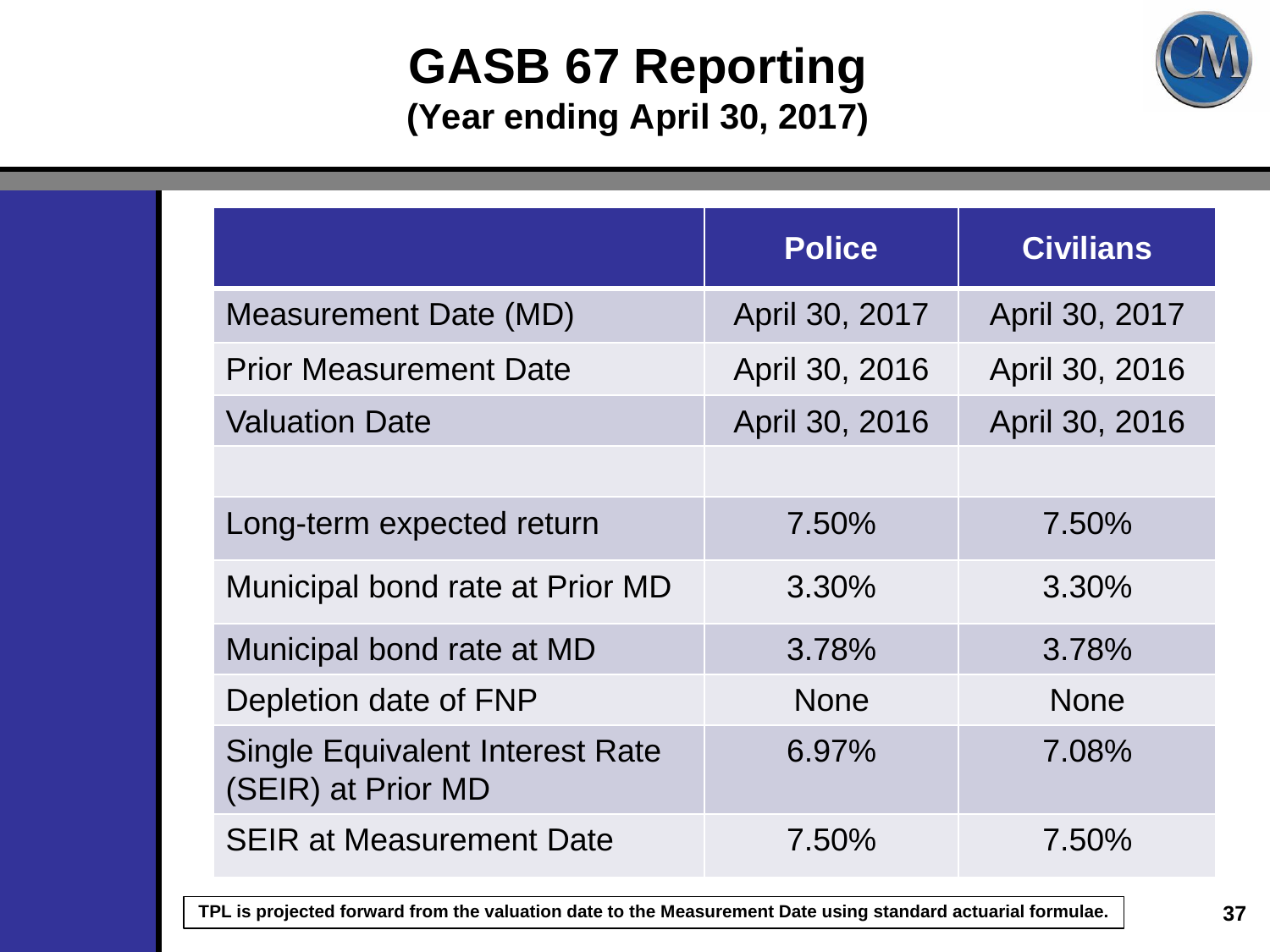#### **GASB 67 Reporting (Year ending April 30, 2017)**



|                                                              | <b>Police</b>  | <b>Civilians</b> |
|--------------------------------------------------------------|----------------|------------------|
| <b>Measurement Date (MD)</b>                                 | April 30, 2017 | April 30, 2017   |
| <b>Prior Measurement Date</b>                                | April 30, 2016 | April 30, 2016   |
| <b>Valuation Date</b>                                        | April 30, 2016 | April 30, 2016   |
|                                                              |                |                  |
| Long-term expected return                                    | 7.50%          | 7.50%            |
| Municipal bond rate at Prior MD                              | 3.30%          | 3.30%            |
| Municipal bond rate at MD                                    | 3.78%          | 3.78%            |
| Depletion date of FNP                                        | <b>None</b>    | <b>None</b>      |
| <b>Single Equivalent Interest Rate</b><br>(SEIR) at Prior MD | 6.97%          | 7.08%            |
| <b>SEIR at Measurement Date</b>                              | 7.50%          | 7.50%            |

**TPL is projected forward from the valuation date to the Measurement Date using standard actuarial formulae.**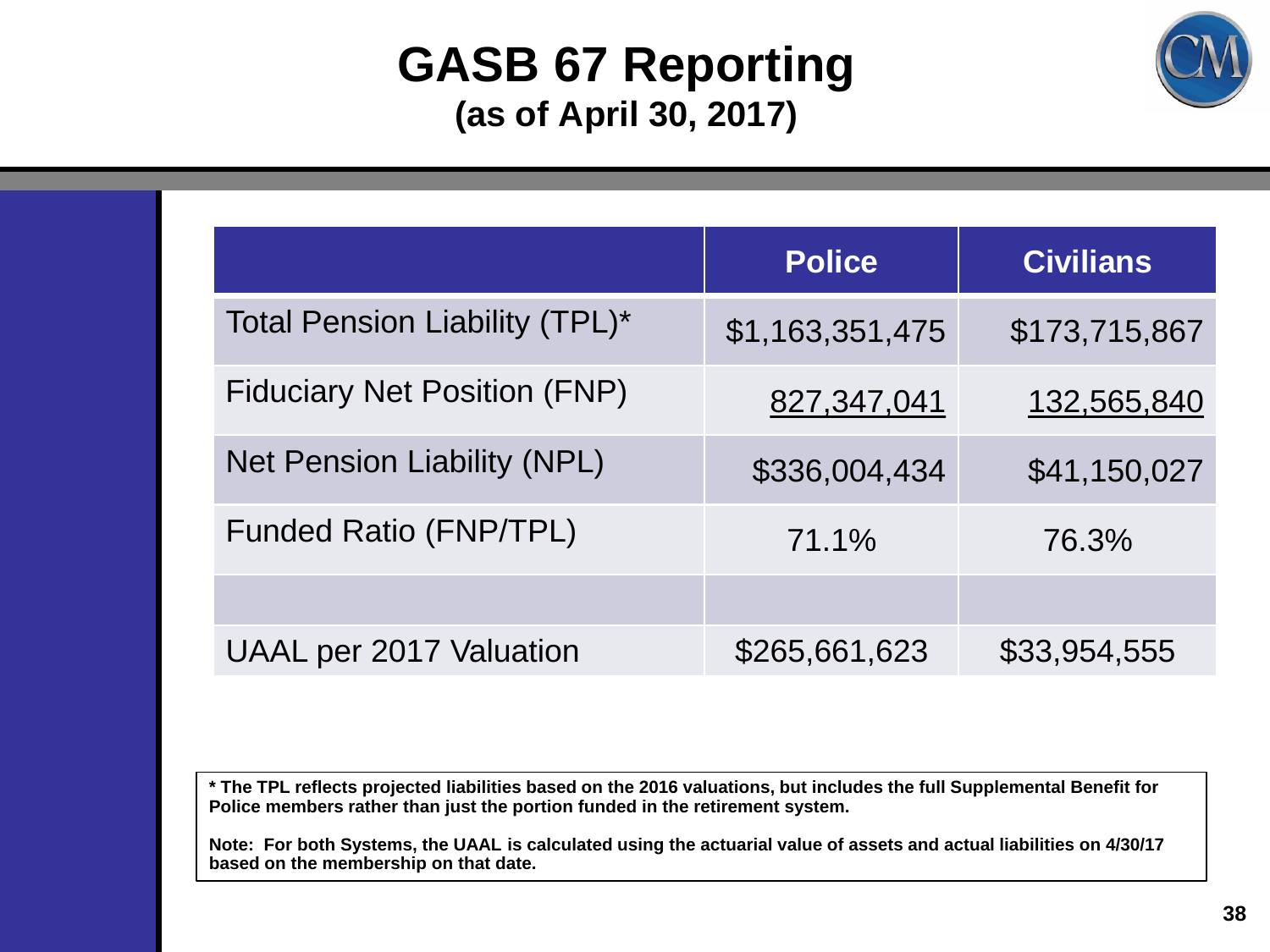#### **GASB 67 Reporting (as of April 30, 2017)**



|                                     | <b>Police</b>   | <b>Civilians</b> |
|-------------------------------------|-----------------|------------------|
| Total Pension Liability (TPL)*      | \$1,163,351,475 | \$173,715,867    |
| <b>Fiduciary Net Position (FNP)</b> | 827,347,041     | 132,565,840      |
| <b>Net Pension Liability (NPL)</b>  | \$336,004,434   | \$41,150,027     |
| <b>Funded Ratio (FNP/TPL)</b>       | 71.1%           | 76.3%            |
|                                     |                 |                  |
| <b>UAAL per 2017 Valuation</b>      | \$265,661,623   | \$33,954,555     |

**\* The TPL reflects projected liabilities based on the 2016 valuations, but includes the full Supplemental Benefit for Police members rather than just the portion funded in the retirement system.** 

**Note: For both Systems, the UAAL is calculated using the actuarial value of assets and actual liabilities on 4/30/17 based on the membership on that date.**